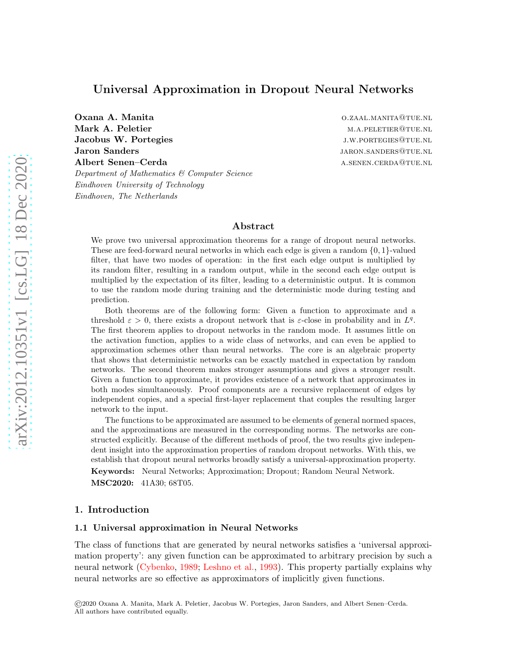# Universal Approximation in Dropout Neural Networks

**Oxana A. Manita** o.zaal.manita o.zaal.manita o.zaal.manita@tue.nl Mark A. Peletier matrices are more matrices of the matrices of the matrices of  $M.A.PELETIER@TUE.NL$ Jacobus W. Portegies and the settlement of the settlement of the settlement of the settlement of the settlement of the settlement of the settlement of the settlement of the settlement of the settlement of the settlement of **Jaron Sanders JARON.SANDERS@TUE.NL** Albert Senen–Cerda a.senen.cerda a.senen.cerda a.senen.cerda Department of Mathematics & Computer Science Eindhoven University of Technology Eindhoven, The Netherlands

## Abstract

We prove two universal approximation theorems for a range of dropout neural networks. These are feed-forward neural networks in which each edge is given a random  $\{0, 1\}$ -valued filter, that have two modes of operation: in the first each edge output is multiplied by its random filter, resulting in a random output, while in the second each edge output is multiplied by the expectation of its filter, leading to a deterministic output. It is common to use the random mode during training and the deterministic mode during testing and prediction.

Both theorems are of the following form: Given a function to approximate and a threshold  $\varepsilon > 0$ , there exists a dropout network that is  $\varepsilon$ -close in probability and in  $L^q$ . The first theorem applies to dropout networks in the random mode. It assumes little on the activation function, applies to a wide class of networks, and can even be applied to approximation schemes other than neural networks. The core is an algebraic property that shows that deterministic networks can be exactly matched in expectation by random networks. The second theorem makes stronger assumptions and gives a stronger result. Given a function to approximate, it provides existence of a network that approximates in both modes simultaneously. Proof components are a recursive replacement of edges by independent copies, and a special first-layer replacement that couples the resulting larger network to the input.

The functions to be approximated are assumed to be elements of general normed spaces, and the approximations are measured in the corresponding norms. The networks are constructed explicitly. Because of the different methods of proof, the two results give independent insight into the approximation properties of random dropout networks. With this, we establish that dropout neural networks broadly satisfy a universal-approximation property. Keywords: Neural Networks; Approximation; Dropout; Random Neural Network.

MSC2020: 41A30; 68T05.

# 1. Introduction

### 1.1 Universal approximation in Neural Networks

The class of functions that are generated by neural networks satisfies a 'universal approximation property': any given function can be approximated to arbitrary precision by such a neural network [\(Cybenko,](#page-28-0) [1989](#page-28-0); [Leshno et al.](#page-28-1), [1993](#page-28-1)). This property partially explains why neural networks are so effective as approximators of implicitly given functions.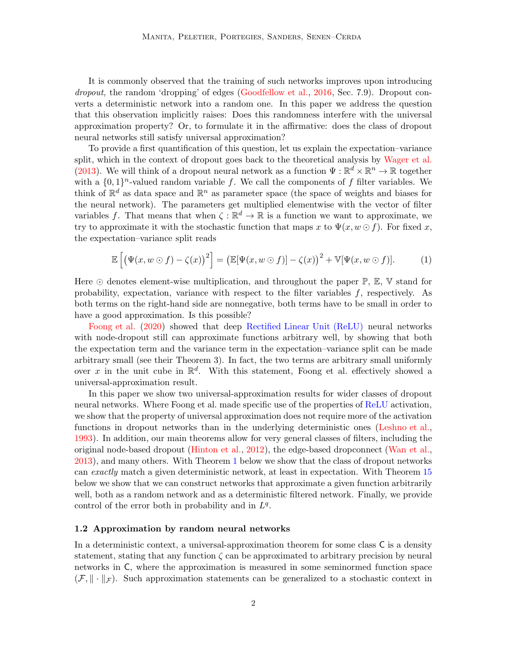It is commonly observed that the training of such networks improves upon introducing dropout, the random 'dropping' of edges [\(Goodfellow et al.](#page-28-2), [2016,](#page-28-2) Sec. 7.9). Dropout converts a deterministic network into a random one. In this paper we address the question that this observation implicitly raises: Does this randomness interfere with the universal approximation property? Or, to formulate it in the affirmative: does the class of dropout neural networks still satisfy universal approximation?

To provide a first quantification of this question, let us explain the expectation–variance split, which in the context of dropout goes back to the theoretical analysis by [Wager et al.](#page-29-0) [\(2013](#page-29-0)). We will think of a dropout neural network as a function  $\Psi : \mathbb{R}^d \times \mathbb{R}^n \to \mathbb{R}$  together with a  $\{0,1\}^n$ -valued random variable f. We call the components of f filter variables. We think of  $\mathbb{R}^d$  as data space and  $\mathbb{R}^n$  as parameter space (the space of weights and biases for the neural network). The parameters get multiplied elementwise with the vector of filter variables f. That means that when  $\zeta : \mathbb{R}^d \to \mathbb{R}$  is a function we want to approximate, we try to approximate it with the stochastic function that maps x to  $\Psi(x, w \odot f)$ . For fixed x, the expectation–variance split reads

$$
\mathbb{E}\left[\left(\Psi(x,w\odot f)-\zeta(x)\right)^2\right]=\left(\mathbb{E}[\Psi(x,w\odot f)]-\zeta(x)\right)^2+\mathbb{V}[\Psi(x,w\odot f)].\tag{1}
$$

Here  $\odot$  denotes element-wise multiplication, and throughout the paper  $\mathbb{P}, \mathbb{E}, \mathbb{V}$  stand for probability, expectation, variance with respect to the filter variables  $f$ , respectively. As both terms on the right-hand side are nonnegative, both terms have to be small in order to have a good approximation. Is this possible?

[Foong et al.](#page-28-3) [\(2020](#page-28-3)) showed that deep Rectified Linear Unit (ReLU) neural networks with node-dropout still can approximate functions arbitrary well, by showing that both the expectation term and the variance term in the expectation–variance split can be made arbitrary small (see their Theorem 3). In fact, the two terms are arbitrary small uniformly over x in the unit cube in  $\mathbb{R}^d$ . With this statement, Foong et al. effectively showed a universal-approximation result.

In this paper we show two universal-approximation results for wider classes of dropout neural networks. Where Foong et al. made specific use of the properties of ReLU activation, we show that the property of universal approximation does not require more of the activation functions in dropout networks than in the underlying deterministic ones [\(Leshno et al.](#page-28-1), [1993\)](#page-28-1). In addition, our main theorems allow for very general classes of filters, including the original node-based dropout [\(Hinton et al.](#page-28-4), [2012](#page-28-4)), the edge-based dropconnect [\(Wan et al.](#page-29-1), [2013\)](#page-29-1), and many others. With Theorem [1](#page-2-0) below we show that the class of dropout networks can exactly match a given deterministic network, at least in expectation. With Theorem [15](#page-24-0) below we show that we can construct networks that approximate a given function arbitrarily well, both as a random network and as a deterministic filtered network. Finally, we provide control of the error both in probability and in  $L<sup>q</sup>$ .

### 1.2 Approximation by random neural networks

In a deterministic context, a universal-approximation theorem for some class C is a density statement, stating that any function  $\zeta$  can be approximated to arbitrary precision by neural networks in C, where the approximation is measured in some seminormed function space  $(\mathcal{F}, \|\cdot\|_{\mathcal{F}})$ . Such approximation statements can be generalized to a stochastic context in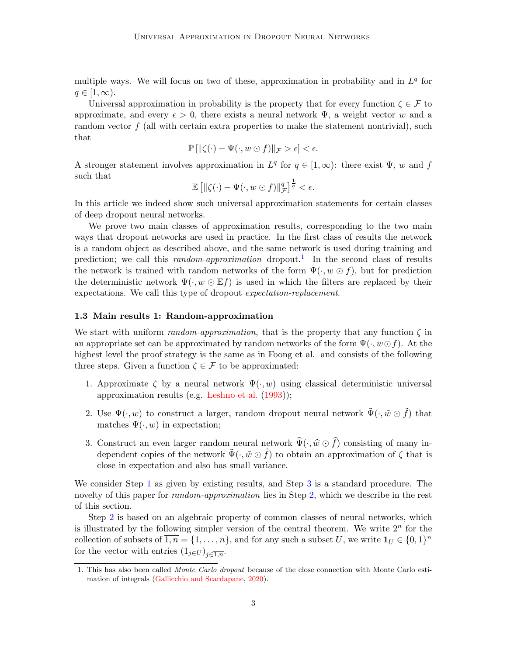multiple ways. We will focus on two of these, approximation in probability and in  $L<sup>q</sup>$  for  $q \in [1,\infty)$ .

Universal approximation in probability is the property that for every function  $\zeta \in \mathcal{F}$  to approximate, and every  $\epsilon > 0$ , there exists a neural network  $\Psi$ , a weight vector w and a random vector  $f$  (all with certain extra properties to make the statement nontrivial), such that

$$
\mathbb{P}\left[\|\zeta(\cdot)-\Psi(\cdot,w\odot f)\|_{\mathcal{F}}>\epsilon\right]<\epsilon.
$$

A stronger statement involves approximation in  $L^q$  for  $q \in [1,\infty)$ : there exist  $\Psi$ , w and f such that

$$
\mathbb{E}\left[\left\|\zeta(\cdot)-\Psi(\cdot,w\odot f)\right\|_{\mathcal{F}}^{q}\right]^{\frac{1}{q}}<\epsilon.
$$

In this article we indeed show such universal approximation statements for certain classes of deep dropout neural networks.

We prove two main classes of approximation results, corresponding to the two main ways that dropout networks are used in practice. In the first class of results the network is a random object as described above, and the same network is used during training and prediction; we call this *random-approximation* dropout.<sup>1</sup> In the second class of results the network is trained with random networks of the form  $\Psi(\cdot, w \odot f)$ , but for prediction the deterministic network  $\Psi(\cdot, w \odot \mathbb{E}f)$  is used in which the filters are replaced by their expectations. We call this type of dropout expectation-replacement.

### <span id="page-2-4"></span>1.3 Main results 1: Random-approximation

We start with uniform random-approximation, that is the property that any function  $\zeta$  in an appropriate set can be approximated by random networks of the form  $\Psi(\cdot, w \odot f)$ . At the highest level the proof strategy is the same as in Foong et al. and consists of the following three steps. Given a function  $\zeta \in \mathcal{F}$  to be approximated:

- <span id="page-2-1"></span>1. Approximate  $\zeta$  by a neural network  $\Psi(\cdot, w)$  using classical deterministic universal approximation results (e.g. [Leshno et al.](#page-28-1) [\(1993](#page-28-1)));
- <span id="page-2-3"></span>2. Use  $\Psi(\cdot, w)$  to construct a larger, random dropout neural network  $\tilde{\Psi}(\cdot, \tilde{w} \odot \tilde{f})$  that matches  $\Psi(\cdot, w)$  in expectation;
- <span id="page-2-2"></span>3. Construct an even larger random neural network  $\hat{\Psi}(\cdot, \hat{w} \odot \hat{f})$  consisting of many independent copies of the network  $\Psi(\cdot, \tilde{w} \odot f)$  to obtain an approximation of  $\zeta$  that is close in expectation and also has small variance.

We consider Step [1](#page-2-1) as given by existing results, and Step [3](#page-2-2) is a standard procedure. The novelty of this paper for *random-approximation* lies in Step [2,](#page-2-3) which we describe in the rest of this section.

Step [2](#page-2-3) is based on an algebraic property of common classes of neural networks, which is illustrated by the following simpler version of the central theorem. We write  $2<sup>n</sup>$  for the collection of subsets of  $\overline{1,n} = \{1,\ldots,n\}$ , and for any such a subset U, we write  $\mathbf{1}_U \in \{0,1\}^n$ for the vector with entries  $(1_{i\in U})_{i\in I_n}$ .

<span id="page-2-0"></span><sup>1.</sup> This has also been called Monte Carlo dropout because of the close connection with Monte Carlo estimation of integrals [\(Gallicchio and Scardapane](#page-28-5), [2020](#page-28-5)).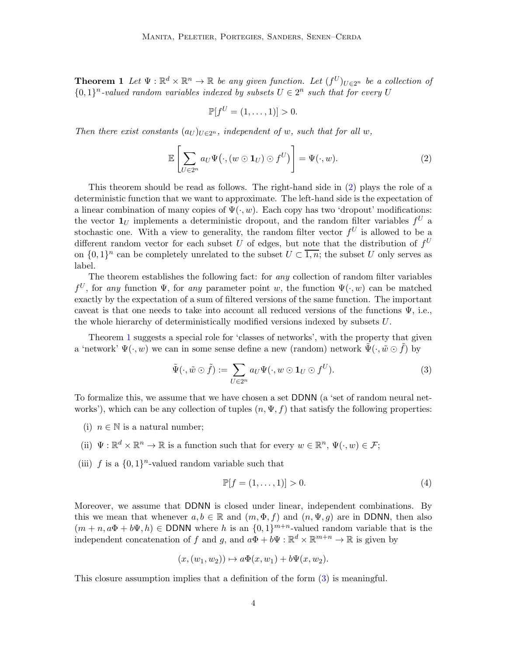**Theorem 1** Let  $\Psi : \mathbb{R}^d \times \mathbb{R}^n \to \mathbb{R}$  be any given function. Let  $(f^U)_{U \in 2^n}$  be a collection of  $\{0,1\}^n$ -valued random variables indexed by subsets  $U \in 2^n$  such that for every U

<span id="page-3-0"></span>
$$
\mathbb{P}[f^U=(1,\ldots,1)]>0.
$$

Then there exist constants  $(a_U)_{U \in 2^n}$ , independent of w, such that for all w,

$$
\mathbb{E}\left[\sum_{U\in 2^n} a_U \Psi(\cdot, (w \odot \mathbf{1}_U) \odot f^U)\right] = \Psi(\cdot, w). \tag{2}
$$

This theorem should be read as follows. The right-hand side in [\(2\)](#page-3-0) plays the role of a deterministic function that we want to approximate. The left-hand side is the expectation of a linear combination of many copies of  $\Psi(\cdot, w)$ . Each copy has two 'dropout' modifications: the vector  $\mathbf{1}_U$  implements a deterministic dropout, and the random filter variables  $f^U$  a stochastic one. With a view to generality, the random filter vector  $f^U$  is allowed to be a different random vector for each subset U of edges, but note that the distribution of  $f<sup>U</sup>$ on  $\{0,1\}^n$  can be completely unrelated to the subset  $U \subset \overline{1,n}$ ; the subset U only serves as label.

The theorem establishes the following fact: for any collection of random filter variables  $f^U$ , for any function  $\Psi$ , for any parameter point w, the function  $\Psi(\cdot, w)$  can be matched exactly by the expectation of a sum of filtered versions of the same function. The important caveat is that one needs to take into account all reduced versions of the functions  $\Psi$ , i.e., the whole hierarchy of deterministically modified versions indexed by subsets U.

Theorem [1](#page-2-0) suggests a special role for 'classes of networks', with the property that given a 'network'  $\Psi(\cdot, w)$  we can in some sense define a new (random) network  $\Psi(\cdot, \tilde{w} \odot f)$  by

$$
\tilde{\Psi}(\cdot,\tilde{w}\odot\tilde{f}) := \sum_{U\in2^n} a_U \Psi(\cdot,w\odot\mathbf{1}_U\odot f^U).
$$
\n(3)

To formalize this, we assume that we have chosen a set DDNN (a 'set of random neural networks'), which can be any collection of tuples  $(n, \Psi, f)$  that satisfy the following properties:

- (i)  $n \in \mathbb{N}$  is a natural number;
- (ii)  $\Psi : \mathbb{R}^d \times \mathbb{R}^n \to \mathbb{R}$  is a function such that for every  $w \in \mathbb{R}^n$ ,  $\Psi(\cdot, w) \in \mathcal{F}$ ;

(iii) f is a  $\{0,1\}^n$ -valued random variable such that

<span id="page-3-2"></span><span id="page-3-1"></span>
$$
\mathbb{P}[f = (1, \dots, 1)] > 0. \tag{4}
$$

Moreover, we assume that DDNN is closed under linear, independent combinations. By this we mean that whenever  $a, b \in \mathbb{R}$  and  $(m, \Phi, f)$  and  $(n, \Psi, q)$  are in DDNN, then also  $(m + n, a\Phi + b\Psi, h) \in \text{DDNN}$  where h is an  $\{0, 1\}^{m+n}$ -valued random variable that is the independent concatenation of f and g, and  $a\Phi + b\Psi : \mathbb{R}^d \times \mathbb{R}^{m+n} \to \mathbb{R}$  is given by

$$
(x,(w_1,w_2))\mapsto a\Phi(x,w_1)+b\Psi(x,w_2).
$$

This closure assumption implies that a definition of the form [\(3\)](#page-3-1) is meaningful.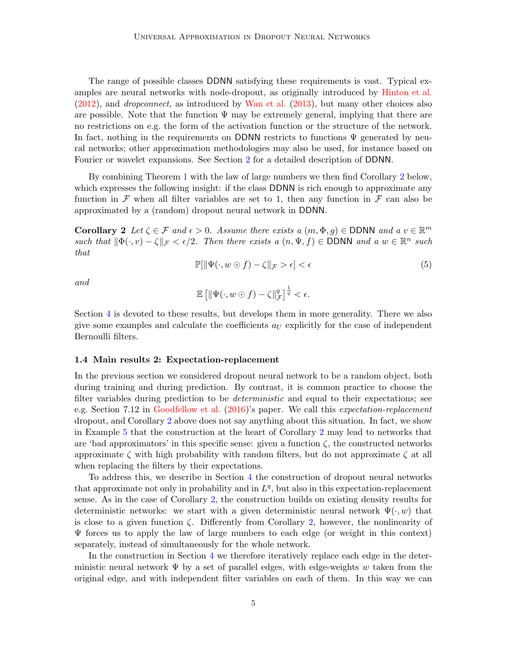The range of possible classes DDNN satisfying these requirements is vast. Typical examples are neural networks with node-dropout, as originally introduced by [Hinton et al.](#page-28-4) [\(2012](#page-28-4)), and dropconnect, as introduced by [Wan et al.](#page-29-1) [\(2013\)](#page-29-1), but many other choices also are possible. Note that the function  $\Psi$  may be extremely general, implying that there are no restrictions on e.g. the form of the activation function or the structure of the network. In fact, nothing in the requirements on DDNN restricts to functions  $\Psi$  generated by neural networks; other approximation methodologies may also be used, for instance based on Fourier or wavelet expansions. See Section [2](#page-8-0) for a detailed description of DDNN.

By combining Theorem [1](#page-2-0) with the law of large numbers we then find Corollary [2](#page-4-0) below, which expresses the following insight: if the class DDNN is rich enough to approximate any function in F when all filter variables are set to 1, then any function in F can also be approximated by a (random) dropout neural network in DDNN.

**Corollary 2** Let  $\zeta \in \mathcal{F}$  and  $\epsilon > 0$ . Assume there exists a  $(m, \Phi, g) \in \text{DDNN}$  and a  $v \in \mathbb{R}^m$ such that  $\|\Phi(\cdot, v) - \zeta\|_{\mathcal{F}} < \epsilon/2$ . Then there exists a  $(n, \Psi, f) \in \text{DDNN}$  and a  $w \in \mathbb{R}^n$  such that

<span id="page-4-0"></span>
$$
\mathbb{P}[\|\Psi(\cdot, w \odot f) - \zeta\|_{\mathcal{F}} > \epsilon] < \epsilon \tag{5}
$$

and

$$
\mathbb{E}\left[\left\|\Psi(\cdot,w\odot f)-\zeta\right\|_{\mathcal{F}}^{q}\right]^{\frac{1}{q}}<\epsilon.
$$

Section [4](#page-17-0) is devoted to these results, but develops them in more generality. There we also give some examples and calculate the coefficients  $a_U$  explicitly for the case of independent Bernoulli filters.

#### <span id="page-4-1"></span>1.4 Main results 2: Expectation-replacement

In the previous section we considered dropout neural network to be a random object, both during training and during prediction. By contrast, it is common practice to choose the filter variables during prediction to be *deterministic* and equal to their expectations; see e.g. Section 7.12 in [Goodfellow et al.](#page-28-2) [\(2016\)](#page-28-2)'s paper. We call this expectation-replacement dropout, and Corollary [2](#page-4-0) above does not say anything about this situation. In fact, we show in Example [5](#page-16-0) that the construction at the heart of Corollary [2](#page-4-0) may lead to networks that are 'bad approximators' in this specific sense: given a function  $\zeta$ , the constructed networks approximate  $\zeta$  with high probability with random filters, but do not approximate  $\zeta$  at all when replacing the filters by their expectations.

To address this, we describe in Section [4](#page-17-0) the construction of dropout neural networks that approximate not only in probability and in  $L<sup>q</sup>$ , but also in this expectation-replacement sense. As in the case of Corollary [2,](#page-4-0) the construction builds on existing density results for deterministic networks: we start with a given deterministic neural network  $\Psi(\cdot, w)$  that is close to a given function  $\zeta$ . Differently from Corollary [2,](#page-4-0) however, the nonlinearity of  $\Psi$  forces us to apply the law of large numbers to each edge (or weight in this context) separately, instead of simultaneously for the whole network.

In the construction in Section [4](#page-17-0) we therefore iteratively replace each edge in the deterministic neural network  $\Psi$  by a set of parallel edges, with edge-weights w taken from the original edge, and with independent filter variables on each of them. In this way we can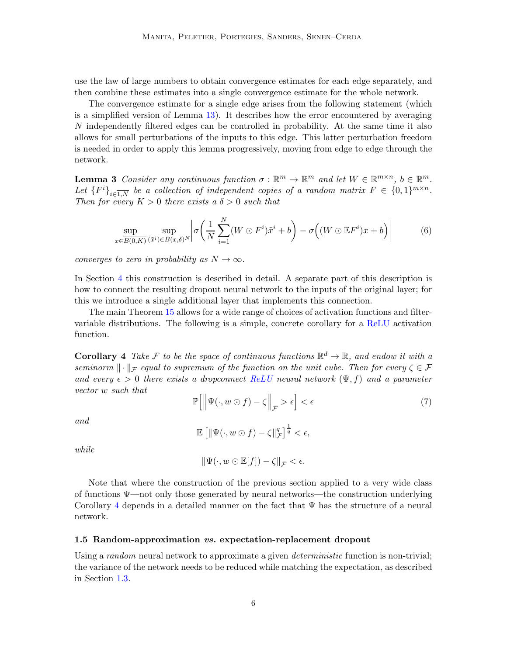use the law of large numbers to obtain convergence estimates for each edge separately, and then combine these estimates into a single convergence estimate for the whole network.

The convergence estimate for a single edge arises from the following statement (which is a simplified version of Lemma [13\)](#page-21-0). It describes how the error encountered by averaging N independently filtered edges can be controlled in probability. At the same time it also allows for small perturbations of the inputs to this edge. This latter perturbation freedom is needed in order to apply this lemma progressively, moving from edge to edge through the network.

**Lemma 3** Consider any continuous function  $\sigma : \mathbb{R}^m \to \mathbb{R}^m$  and let  $W \in \mathbb{R}^{m \times n}$ ,  $b \in \mathbb{R}^m$ . Let  ${F^i}_{i \in \overline{1,N}}$  be a collection of independent copies of a random matrix  $F \in \{0,1\}^{m \times n}$ . Then for every  $K > 0$  there exists a  $\delta > 0$  such that

$$
\sup_{x \in \overline{B(0,K)}} \sup_{(\tilde{x}^i) \in B(x,\delta)^N} \left| \sigma \left( \frac{1}{N} \sum_{i=1}^N (W \odot F^i) \tilde{x}^i + b \right) - \sigma \left( (W \odot \mathbb{E} F^i) x + b \right) \right| \tag{6}
$$

converges to zero in probability as  $N \to \infty$ .

In Section [4](#page-17-0) this construction is described in detail. A separate part of this description is how to connect the resulting dropout neural network to the inputs of the original layer; for this we introduce a single additional layer that implements this connection.

<span id="page-5-0"></span>The main Theorem [15](#page-24-0) allows for a wide range of choices of activation functions and filtervariable distributions. The following is a simple, concrete corollary for a ReLU activation function.

**Corollary** 4 Take F to be the space of continuous functions  $\mathbb{R}^d \to \mathbb{R}$ , and endow it with a seminorm  $\|\cdot\|_{\mathcal{F}}$  equal to supremum of the function on the unit cube. Then for every  $\zeta \in \mathcal{F}$ and every  $\epsilon > 0$  there exists a dropconnect ReLU neural network  $(\Psi, f)$  and a parameter vector w such that  $\mathbb{P}\left[\left\|\Psi(\cdot, w \odot f) - \zeta\right\|_{\mathcal{F}} > \epsilon\right] < \epsilon$ (7)

$$
\qquad and \qquad
$$

$$
\mathbb{E}\left[\|\Psi(\cdot,w\odot f)-\zeta\|_{\mathcal{F}}^{q}\right]^{\frac{1}{q}}<\epsilon,
$$

while

 $\|\Psi(\cdot, w \odot \mathbb{E}[f]) - \zeta\|_{\tau} < \epsilon.$ 

Note that where the construction of the previous section applied to a very wide class of functions Ψ—not only those generated by neural networks—the construction underlying Corollary [4](#page-5-0) depends in a detailed manner on the fact that  $\Psi$  has the structure of a neural network.

#### 1.5 Random-approximation vs. expectation-replacement dropout

Using a *random* neural network to approximate a given *deterministic* function is non-trivial; the variance of the network needs to be reduced while matching the expectation, as described in Section [1.3.](#page-2-4)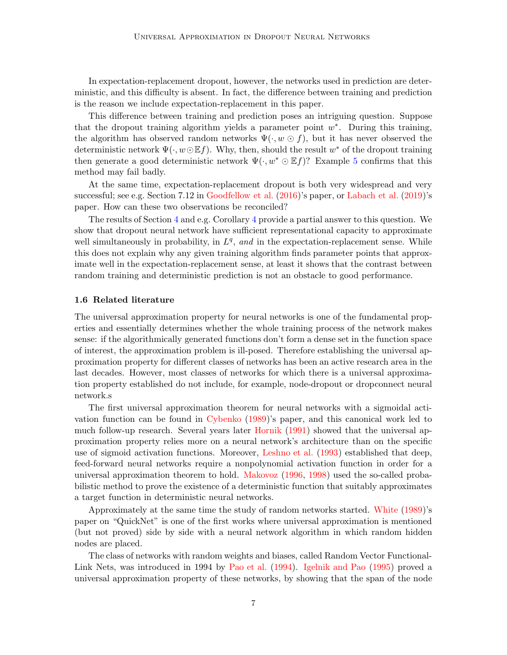In expectation-replacement dropout, however, the networks used in prediction are deterministic, and this difficulty is absent. In fact, the difference between training and prediction is the reason we include expectation-replacement in this paper.

This difference between training and prediction poses an intriguing question. Suppose that the dropout training algorithm yields a parameter point  $w^*$ . During this training, the algorithm has observed random networks  $\Psi(\cdot, w \odot f)$ , but it has never observed the deterministic network  $\Psi(\cdot, w \odot \mathbb{E} f)$ . Why, then, should the result  $w^*$  of the dropout training then generate a good deterministic network  $\Psi(\cdot, w^* \odot \mathbb{E} f)$ ? Example [5](#page-16-0) confirms that this method may fail badly.

At the same time, expectation-replacement dropout is both very widespread and very successful; see e.g. Section 7.12 in [Goodfellow et al.](#page-28-2) [\(2016](#page-28-2))'s paper, or [Labach et al.](#page-28-6) [\(2019](#page-28-6))'s paper. How can these two observations be reconciled?

The results of Section [4](#page-17-0) and e.g. Corollary [4](#page-5-0) provide a partial answer to this question. We show that dropout neural network have sufficient representational capacity to approximate well simultaneously in probability, in  $L<sup>q</sup>$ , and in the expectation-replacement sense. While this does not explain why any given training algorithm finds parameter points that approximate well in the expectation-replacement sense, at least it shows that the contrast between random training and deterministic prediction is not an obstacle to good performance.

## 1.6 Related literature

The universal approximation property for neural networks is one of the fundamental properties and essentially determines whether the whole training process of the network makes sense: if the algorithmically generated functions don't form a dense set in the function space of interest, the approximation problem is ill-posed. Therefore establishing the universal approximation property for different classes of networks has been an active research area in the last decades. However, most classes of networks for which there is a universal approximation property established do not include, for example, node-dropout or dropconnect neural network.s

The first universal approximation theorem for neural networks with a sigmoidal activation function can be found in [Cybenko](#page-28-0) [\(1989\)](#page-28-0)'s paper, and this canonical work led to much follow-up research. Several years later [Hornik](#page-28-7) [\(1991](#page-28-7)) showed that the universal approximation property relies more on a neural network's architecture than on the specific use of sigmoid activation functions. Moreover, [Leshno et al.](#page-28-1) [\(1993](#page-28-1)) established that deep, feed-forward neural networks require a nonpolynomial activation function in order for a universal approximation theorem to hold. [Makovoz](#page-28-8) [\(1996,](#page-28-8) [1998](#page-29-2)) used the so-called probabilistic method to prove the existence of a deterministic function that suitably approximates a target function in deterministic neural networks.

Approximately at the same time the study of random networks started. [White](#page-29-3) [\(1989](#page-29-3))'s paper on "QuickNet" is one of the first works where universal approximation is mentioned (but not proved) side by side with a neural network algorithm in which random hidden nodes are placed.

The class of networks with random weights and biases, called Random Vector Functional-Link Nets, was introduced in 1994 by [Pao et al.](#page-29-4) [\(1994\)](#page-29-4). [Igelnik and Pao](#page-28-9) [\(1995\)](#page-28-9) proved a universal approximation property of these networks, by showing that the span of the node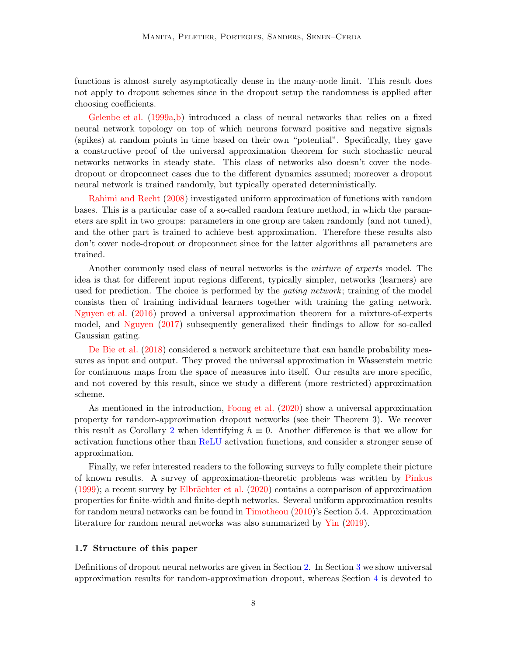functions is almost surely asymptotically dense in the many-node limit. This result does not apply to dropout schemes since in the dropout setup the randomness is applied after choosing coefficients.

[Gelenbe et al.](#page-28-10) [\(1999a](#page-28-10)[,b\)](#page-28-11) introduced a class of neural networks that relies on a fixed neural network topology on top of which neurons forward positive and negative signals (spikes) at random points in time based on their own "potential". Specifically, they gave a constructive proof of the universal approximation theorem for such stochastic neural networks networks in steady state. This class of networks also doesn't cover the nodedropout or dropconnect cases due to the different dynamics assumed; moreover a dropout neural network is trained randomly, but typically operated deterministically.

[Rahimi and Recht](#page-29-5) [\(2008](#page-29-5)) investigated uniform approximation of functions with random bases. This is a particular case of a so-called random feature method, in which the parameters are split in two groups: parameters in one group are taken randomly (and not tuned), and the other part is trained to achieve best approximation. Therefore these results also don't cover node-dropout or dropconnect since for the latter algorithms all parameters are trained.

Another commonly used class of neural networks is the *mixture of experts* model. The idea is that for different input regions different, typically simpler, networks (learners) are used for prediction. The choice is performed by the *gating network*; training of the model consists then of training individual learners together with training the gating network. [Nguyen et al.](#page-29-6) [\(2016\)](#page-29-6) proved a universal approximation theorem for a mixture-of-experts model, and [Nguyen](#page-29-7) [\(2017](#page-29-7)) subsequently generalized their findings to allow for so-called Gaussian gating.

[De Bie et al.](#page-28-12) [\(2018](#page-28-12)) considered a network architecture that can handle probability measures as input and output. They proved the universal approximation in Wasserstein metric for continuous maps from the space of measures into itself. Our results are more specific, and not covered by this result, since we study a different (more restricted) approximation scheme.

As mentioned in the introduction, [Foong et al.](#page-28-3) [\(2020](#page-28-3)) show a universal approximation property for random-approximation dropout networks (see their Theorem 3). We recover this result as Corollary [2](#page-4-0) when identifying  $h \equiv 0$ . Another difference is that we allow for activation functions other than ReLU activation functions, and consider a stronger sense of approximation.

Finally, we refer interested readers to the following surveys to fully complete their picture of known results. A survey of approximation-theoretic problems was written by [Pinkus](#page-29-8)  $(1999)$  $(1999)$ ; a recent survey by Elbrächter et al.  $(2020)$  $(2020)$  contains a comparison of approximation properties for finite-width and finite-depth networks. Several uniform approximation results for random neural networks can be found in [Timotheou](#page-29-9) [\(2010](#page-29-9))'s Section 5.4. Approximation literature for random neural networks was also summarized by [Yin](#page-29-10) [\(2019](#page-29-10)).

### 1.7 Structure of this paper

Definitions of dropout neural networks are given in Section [2.](#page-8-0) In Section [3](#page-9-0) we show universal approximation results for random-approximation dropout, whereas Section [4](#page-17-0) is devoted to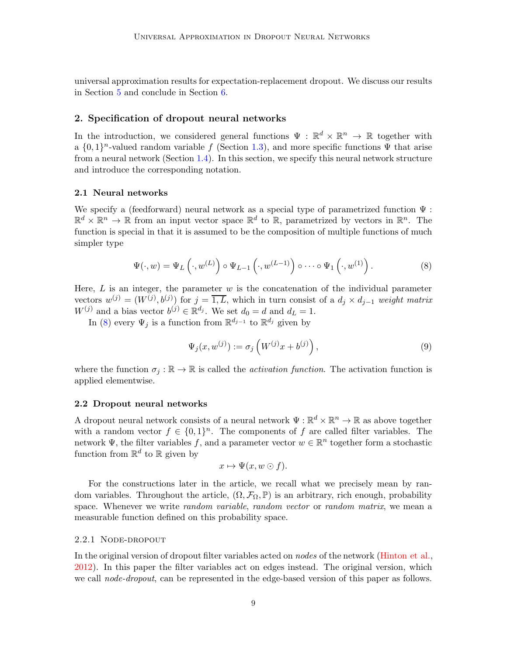universal approximation results for expectation-replacement dropout. We discuss our results in Section [5](#page-25-0) and conclude in Section [6.](#page-26-0)

# <span id="page-8-0"></span>2. Specification of dropout neural networks

In the introduction, we considered general functions  $\Psi : \mathbb{R}^d \times \mathbb{R}^n \to \mathbb{R}$  together with a  $\{0,1\}^n$ -valued random variable f (Section [1.3\)](#page-2-4), and more specific functions  $\Psi$  that arise from a neural network (Section [1.4\)](#page-4-1). In this section, we specify this neural network structure and introduce the corresponding notation.

## <span id="page-8-5"></span>2.1 Neural networks

We specify a (feedforward) neural network as a special type of parametrized function  $\Psi$ :  $\mathbb{R}^d \times \mathbb{R}^n \to \mathbb{R}$  from an input vector space  $\mathbb{R}^d$  to  $\mathbb{R}$ , parametrized by vectors in  $\mathbb{R}^n$ . The function is special in that it is assumed to be the composition of multiple functions of much simpler type

<span id="page-8-1"></span>
$$
\Psi(\cdot, w) = \Psi_L \left( \cdot, w^{(L)} \right) \circ \Psi_{L-1} \left( \cdot, w^{(L-1)} \right) \circ \cdots \circ \Psi_1 \left( \cdot, w^{(1)} \right). \tag{8}
$$

Here,  $L$  is an integer, the parameter  $w$  is the concatenation of the individual parameter vectors  $w^{(j)} = (W^{(j)}, b^{(j)})$  for  $j = \overline{1, L}$ , which in turn consist of a  $d_j \times d_{j-1}$  weight matrix  $W^{(j)}$  and a bias vector  $b^{(j)} \in \mathbb{R}^{d_j}$ . We set  $d_0 = d$  and  $d_L = 1$ .

In [\(8\)](#page-8-1) every  $\Psi_j$  is a function from  $\mathbb{R}^{d_{j-1}}$  to  $\mathbb{R}^{d_j}$  given by

<span id="page-8-2"></span>
$$
\Psi_j(x, w^{(j)}) := \sigma_j\left(W^{(j)}x + b^{(j)}\right),\tag{9}
$$

where the function  $\sigma_i : \mathbb{R} \to \mathbb{R}$  is called the *activation function*. The activation function is applied elementwise.

#### <span id="page-8-4"></span>2.2 Dropout neural networks

A dropout neural network consists of a neural network  $\Psi : \mathbb{R}^d \times \mathbb{R}^n \to \mathbb{R}$  as above together with a random vector  $f \in \{0,1\}^n$ . The components of f are called filter variables. The network  $\Psi$ , the filter variables f, and a parameter vector  $w \in \mathbb{R}^n$  together form a stochastic function from  $\mathbb{R}^d$  to  $\mathbb R$  given by

$$
x \mapsto \Psi(x, w \odot f).
$$

For the constructions later in the article, we recall what we precisely mean by random variables. Throughout the article,  $(\Omega, \mathcal{F}_{\Omega}, \mathbb{P})$  is an arbitrary, rich enough, probability space. Whenever we write *random variable, random vector* or *random matrix*, we mean a measurable function defined on this probability space.

#### <span id="page-8-3"></span>2.2.1 NODE-DROPOUT

In the original version of dropout filter variables acted on *nodes* of the network [\(Hinton et al.,](#page-28-4) [2012\)](#page-28-4). In this paper the filter variables act on edges instead. The original version, which we call *node-dropout*, can be represented in the edge-based version of this paper as follows.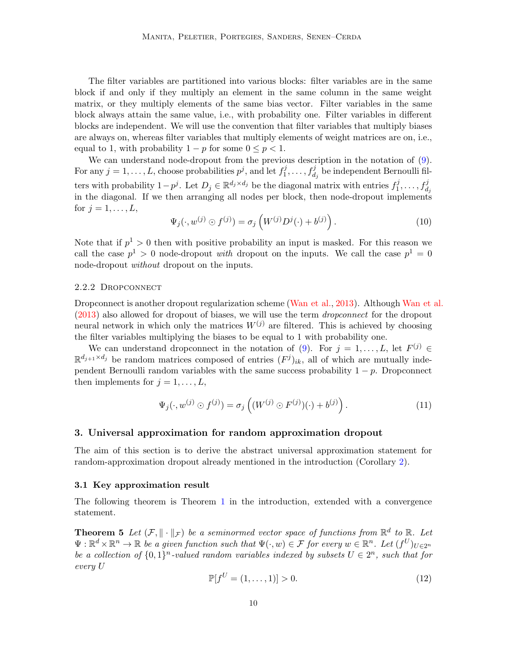The filter variables are partitioned into various blocks: filter variables are in the same block if and only if they multiply an element in the same column in the same weight matrix, or they multiply elements of the same bias vector. Filter variables in the same block always attain the same value, i.e., with probability one. Filter variables in different blocks are independent. We will use the convention that filter variables that multiply biases are always on, whereas filter variables that multiply elements of weight matrices are on, i.e., equal to 1, with probability  $1 - p$  for some  $0 \leq p < 1$ .

We can understand node-dropout from the previous description in the notation of  $(9)$ . For any  $j = 1, ..., L$ , choose probabilities  $p^j$ , and let  $f_1^j$  $f^j_1,\ldots,f^j_{d_j}$  be independent Bernoulli filters with probability  $1-p^j$ . Let  $D_j \in \mathbb{R}^{d_j \times d_j}$  be the diagonal matrix with entries  $f_1^j$  $j_1^j, \ldots, f_{d_j}^j$ in the diagonal. If we then arranging all nodes per block, then node-dropout implements for  $j = 1, \ldots, L$ ,

$$
\Psi_j(\cdot, w^{(j)} \odot f^{(j)}) = \sigma_j \left( W^{(j)} D^j(\cdot) + b^{(j)} \right). \tag{10}
$$

Note that if  $p^1 > 0$  then with positive probability an input is masked. For this reason we call the case  $p^1 > 0$  node-dropout with dropout on the inputs. We call the case  $p^1 = 0$ node-dropout *without* dropout on the inputs.

#### <span id="page-9-2"></span>2.2.2 Dropconnect

Dropconnect is another dropout regularization scheme [\(Wan et al.](#page-29-1), [2013](#page-29-1)). Although [Wan et al.](#page-29-1) [\(2013](#page-29-1)) also allowed for dropout of biases, we will use the term dropconnect for the dropout neural network in which only the matrices  $W^{(j)}$  are filtered. This is achieved by choosing the filter variables multiplying the biases to be equal to 1 with probability one.

We can understand dropconnect in the notation of [\(9\)](#page-8-2). For  $j = 1, ..., L$ , let  $F^{(j)} \in$  $\mathbb{R}^{d_{j+1} \times d_j}$  be random matrices composed of entries  $(F^j)_{ik}$ , all of which are mutually independent Bernoulli random variables with the same success probability  $1 - p$ . Dropconnect then implements for  $j = 1, \ldots, L$ ,

$$
\Psi_j(\cdot, w^{(j)} \odot f^{(j)}) = \sigma_j \left( (W^{(j)} \odot F^{(j)})(\cdot) + b^{(j)} \right). \tag{11}
$$

## <span id="page-9-0"></span>3. Universal approximation for random approximation dropout

The aim of this section is to derive the abstract universal approximation statement for random-approximation dropout already mentioned in the introduction (Corollary [2\)](#page-4-0).

#### 3.1 Key approximation result

<span id="page-9-1"></span>The following theorem is Theorem [1](#page-2-0) in the introduction, extended with a convergence statement.

**Theorem 5** Let  $(\mathcal{F}, \|\cdot\|_{\mathcal{F}})$  be a seminormed vector space of functions from  $\mathbb{R}^d$  to  $\mathbb{R}$ . Let  $\Psi: \mathbb{R}^d \times \mathbb{R}^n \to \mathbb{R}$  be a given function such that  $\Psi(\cdot, w) \in \mathcal{F}$  for every  $w \in \mathbb{R}^n$ . Let  $(f^U)_{U \in 2^n}$ be a collection of  $\{0,1\}^n$ -valued random variables indexed by subsets  $U \in 2^n$ , such that for every U

$$
\mathbb{P}[f^U = (1, \dots, 1)] > 0. \tag{12}
$$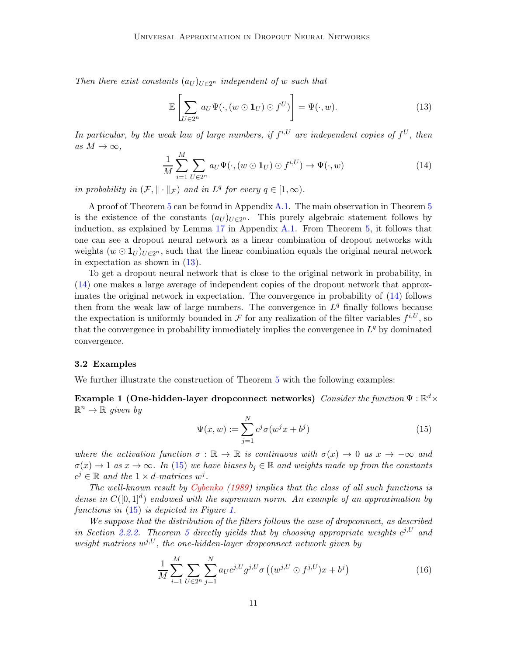Then there exist constants  $(a_U)_{U \in 2^n}$  independent of w such that

<span id="page-10-0"></span>
$$
\mathbb{E}\left[\sum_{U\in 2^n} a_U \Psi(\cdot, (w \odot \mathbf{1}_U) \odot f^U)\right] = \Psi(\cdot, w). \tag{13}
$$

In particular, by the weak law of large numbers, if  $f^{i,U}$  are independent copies of  $f^U$ , then as  $M \to \infty$ ,

<span id="page-10-1"></span>
$$
\frac{1}{M} \sum_{i=1}^{M} \sum_{U \in 2^n} a_U \Psi(\cdot, (w \odot \mathbf{1}_U) \odot f^{i,U}) \to \Psi(\cdot, w)
$$
\n(14)

in probability in  $(\mathcal{F}, \|\cdot\|_{\mathcal{F}})$  and in  $L^q$  for every  $q \in [1, \infty)$ .

A proof of Theorem [5](#page-9-1) can be found in Appendix [A.1.](#page-30-0) The main observation in Theorem [5](#page-9-1) is the existence of the constants  $(a_U)_{U \in 2^n}$ . This purely algebraic statement follows by induction, as explained by Lemma [17](#page-30-1) in Appendix [A.1.](#page-30-0) From Theorem [5,](#page-9-1) it follows that one can see a dropout neural network as a linear combination of dropout networks with weights  $(w \odot 1_U)_{U \in 2^n}$ , such that the linear combination equals the original neural network in expectation as shown in [\(13\)](#page-10-0).

To get a dropout neural network that is close to the original network in probability, in [\(14\)](#page-10-1) one makes a large average of independent copies of the dropout network that approximates the original network in expectation. The convergence in probability of [\(14\)](#page-10-1) follows then from the weak law of large numbers. The convergence in  $L<sup>q</sup>$  finally follows because the expectation is uniformly bounded in  $\mathcal F$  for any realization of the filter variables  $f^{i,U}$ , so that the convergence in probability immediately implies the convergence in  $L^q$  by dominated convergence.

#### 3.2 Examples

We further illustrate the construction of Theorem [5](#page-9-1) with the following examples:

Example 1 (One-hidden-layer dropconnect networks)  $\mathit{Consider the function} \Psi : \mathbb{R}^{d}\times$  $\mathbb{R}^n \to \mathbb{R}$  given by

<span id="page-10-3"></span><span id="page-10-2"></span>
$$
\Psi(x, w) := \sum_{j=1}^{N} c^j \sigma(w^j x + b^j)
$$
\n(15)

where the activation function  $\sigma : \mathbb{R} \to \mathbb{R}$  is continuous with  $\sigma(x) \to 0$  as  $x \to -\infty$  and  $\sigma(x) \to 1$  as  $x \to \infty$ . In [\(15\)](#page-10-2) we have biases  $b_i \in \mathbb{R}$  and weights made up from the constants  $c^j \in \mathbb{R}$  and the  $1 \times d$ -matrices  $w^j$ .

The well-known result by [Cybenko](#page-28-0) [\(1989](#page-28-0)) implies that the class of all such functions is dense in  $C([0,1]^d)$  endowed with the supremum norm. An example of an approximation by functions in  $(15)$  is depicted in Figure [1.](#page-11-0)

We suppose that the distribution of the filters follows the case of dropconnect, as described in Section [2.2.2.](#page-9-2) Theorem [5](#page-9-1) directly yields that by choosing appropriate weights  $c^{j,U}$  and weight matrices  $w^{j,U}$ , the one-hidden-layer dropconnect network given by

$$
\frac{1}{M} \sum_{i=1}^{M} \sum_{U \in 2^n} \sum_{j=1}^{N} a_{U} c^{j,U} g^{j,U} \sigma \left( (w^{j,U} \odot f^{j,U}) x + b^j \right)
$$
(16)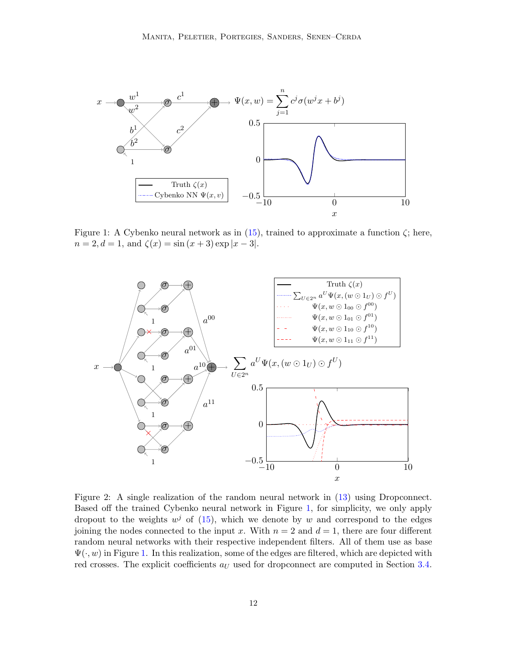<span id="page-11-0"></span>

Figure 1: A Cybenko neural network as in [\(15\)](#page-10-2), trained to approximate a function  $\zeta$ ; here,  $n = 2, d = 1$ , and  $\zeta(x) = \sin(x + 3) \exp|x - 3|$ .

<span id="page-11-1"></span>

Figure 2: A single realization of the random neural network in [\(13\)](#page-10-0) using Dropconnect. Based off the trained Cybenko neural network in Figure [1,](#page-11-0) for simplicity, we only apply dropout to the weights  $w^j$  of [\(15\)](#page-10-2), which we denote by w and correspond to the edges joining the nodes connected to the input x. With  $n = 2$  and  $d = 1$ , there are four different random neural networks with their respective independent filters. All of them use as base  $\Psi(\cdot, w)$  in Figure [1.](#page-11-0) In this realization, some of the edges are filtered, which are depicted with red crosses. The explicit coefficients  $a_U$  used for dropconnect are computed in Section [3.4.](#page-16-1)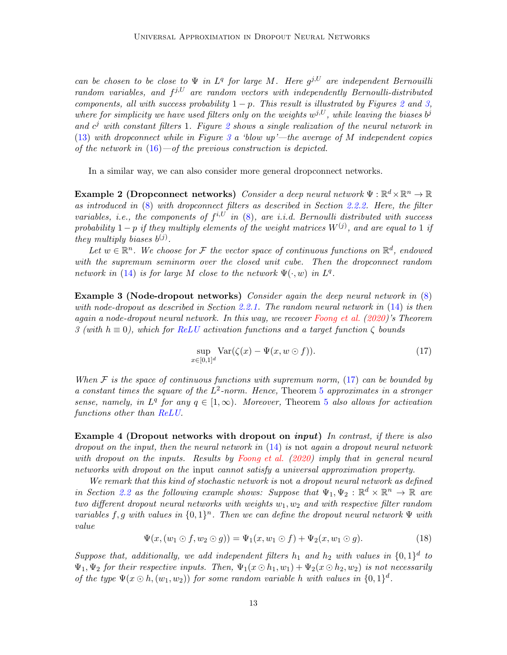can be chosen to be close to  $\Psi$  in  $L^q$  for large M. Here  $g^{j,U}$  are independent Bernouilli random variables, and  $f^{j,U}$  are random vectors with independently Bernoulli-distributed components, all with success probability  $1 - p$ . This result is illustrated by Figures [2](#page-11-1) and [3,](#page-13-0) where for simplicity we have used filters only on the weights  $w^{j,U}$ , while leaving the biases  $b^j$ and  $c^j$  with constant filters 1. Figure [2](#page-11-1) shows a single realization of the neural network in [\(13\)](#page-10-0) with dropconnect while in Figure [3](#page-13-0) a 'blow up'—the average of M independent copies of the network in  $(16)$ —of the previous construction is depicted.

In a similar way, we can also consider more general dropconnect networks.

Example 2 (Dropconnect networks) Consider a deep neural network  $\Psi : \mathbb{R}^d \times \mathbb{R}^n \to \mathbb{R}$ as introduced in [\(8\)](#page-8-1) with dropconnect filters as described in Section [2.2.2.](#page-9-2) Here, the filter variables, i.e., the components of  $f^{i,U}$  in  $(8)$ , are i.i.d. Bernoulli distributed with success probability  $1-p$  if they multiply elements of the weight matrices  $W^{(j)}$ , and are equal to 1 if they multiply biases  $b^{(j)}$ .

Let  $w \in \mathbb{R}^n$ . We choose for F the vector space of continuous functions on  $\mathbb{R}^d$ , endowed with the supremum seminorm over the closed unit cube. Then the dropconnect random network in [\(14\)](#page-10-1) is for large M close to the network  $\Psi(\cdot, w)$  in  $L^q$ .

**Example 3 (Node-dropout networks)** Consider again the deep neural network in [\(8\)](#page-8-1) with node-dropout as described in Section [2.2.1.](#page-8-3) The random neural network in [\(14\)](#page-10-1) is then again a node-dropout neural network. In this way, we recover [Foong et al.](#page-28-3) [\(2020](#page-28-3))'s Theorem 3 (with  $h \equiv 0$ ), which for ReLU activation functions and a target function  $\zeta$  bounds

<span id="page-12-0"></span>
$$
\sup_{x \in [0,1]^d} \text{Var}(\zeta(x) - \Psi(x, w \odot f)). \tag{17}
$$

When  $\mathcal F$  is the space of continuous functions with supremum norm, [\(17\)](#page-12-0) can be bounded by a constant times the square of the  $L^2$ -norm. Hence, Theorem [5](#page-9-1) approximates in a stronger sense, namely, in  $L^q$  for any  $q \in [1,\infty)$ . Moreover, Theorem [5](#page-9-1) also allows for activation functions other than ReLU.

**Example 4 (Dropout networks with dropout on input)** In contrast, if there is also dropout on the input, then the neural network in  $(14)$  is not again a dropout neural network with dropout on the inputs. Results by [Foong et al.](#page-28-3) [\(2020](#page-28-3)) imply that in general neural networks with dropout on the input cannot satisfy a universal approximation property.

We remark that this kind of stochastic network is not a dropout neural network as defined in Section [2.2](#page-8-4) as the following example shows: Suppose that  $\Psi_1, \Psi_2 : \mathbb{R}^d \times \mathbb{R}^n \to \mathbb{R}$  are two different dropout neural networks with weights  $w_1, w_2$  and with respective filter random variables f, g with values in  $\{0,1\}^n$ . Then we can define the dropout neural network  $\Psi$  with value

$$
\Psi(x,(w_1 \odot f, w_2 \odot g)) = \Psi_1(x,w_1 \odot f) + \Psi_2(x,w_1 \odot g). \tag{18}
$$

Suppose that, additionally, we add independent filters  $h_1$  and  $h_2$  with values in  $\{0,1\}^d$  to  $\Psi_1, \Psi_2$  for their respective inputs. Then,  $\Psi_1(x \odot h_1, w_1) + \Psi_2(x \odot h_2, w_2)$  is not necessarily of the type  $\Psi(x \odot h,(w_1,w_2))$  for some random variable h with values in  $\{0,1\}^d$ .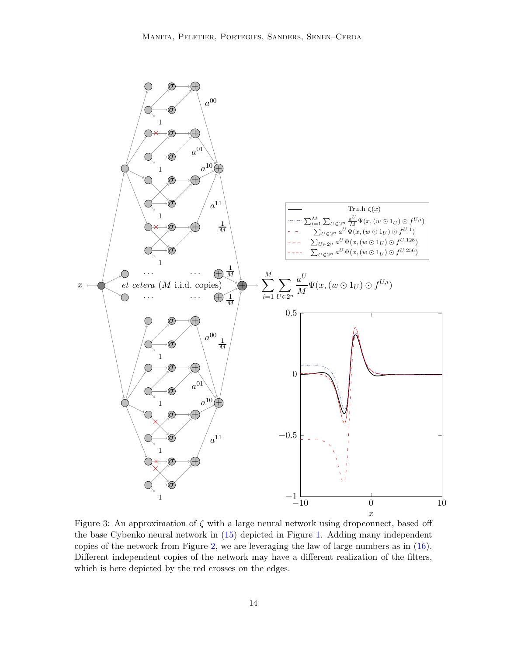<span id="page-13-0"></span>

Figure 3: An approximation of  $\zeta$  with a large neural network using dropconnect, based off the base Cybenko neural network in [\(15\)](#page-10-2) depicted in Figure [1.](#page-11-0) Adding many independent copies of the network from Figure [2,](#page-11-1) we are leveraging the law of large numbers as in [\(16\)](#page-10-3). Different independent copies of the network may have a different realization of the filters, which is here depicted by the red crosses on the edges.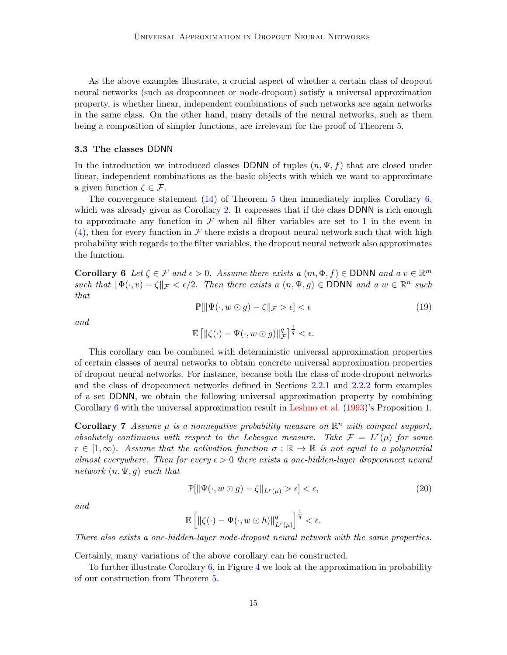As the above examples illustrate, a crucial aspect of whether a certain class of dropout neural networks (such as dropconnect or node-dropout) satisfy a universal approximation property, is whether linear, independent combinations of such networks are again networks in the same class. On the other hand, many details of the neural networks, such as them being a composition of simpler functions, are irrelevant for the proof of Theorem [5.](#page-9-1)

### 3.3 The classes DDNN

In the introduction we introduced classes DDNN of tuples  $(n, \Psi, f)$  that are closed under linear, independent combinations as the basic objects with which we want to approximate a given function  $\zeta \in \mathcal{F}$ .

The convergence statement [\(14\)](#page-10-1) of Theorem [5](#page-9-1) then immediately implies Corollary [6,](#page-14-0) which was already given as Corollary [2.](#page-4-0) It expresses that if the class DDNN is rich enough to approximate any function in  $\mathcal F$  when all filter variables are set to 1 in the event in  $(4)$ , then for every function in F there exists a dropout neural network such that with high probability with regards to the filter variables, the dropout neural network also approximates the function.

<span id="page-14-0"></span>**Corollary 6** Let  $\zeta \in \mathcal{F}$  and  $\epsilon > 0$ . Assume there exists a  $(m, \Phi, f) \in$  DDNN and a  $v \in \mathbb{R}^m$ such that  $\|\Phi(\cdot, v) - \zeta\|_{\mathcal{F}} < \epsilon/2$ . Then there exists a  $(n, \Psi, g) \in \text{DDNN}$  and a  $w \in \mathbb{R}^n$  such that

$$
\mathbb{P}[\|\Psi(\cdot, w \odot g) - \zeta\|_{\mathcal{F}} > \epsilon] < \epsilon \tag{19}
$$

and

$$
\mathbb{E}\left[\left\|\zeta(\cdot)-\Psi(\cdot,w\odot g)\right\|_{\mathcal{F}}^q\right]^{\frac{1}{q}}<\epsilon.
$$

This corollary can be combined with deterministic universal approximation properties of certain classes of neural networks to obtain concrete universal approximation properties of dropout neural networks. For instance, because both the class of node-dropout networks and the class of dropconnect networks defined in Sections [2.2.1](#page-8-3) and [2.2.2](#page-9-2) form examples of a set DDNN, we obtain the following universal approximation property by combining Corollary [6](#page-14-0) with the universal approximation result in [Leshno et al.](#page-28-1) [\(1993](#page-28-1))'s Proposition 1.

Corollary 7 Assume  $\mu$  is a nonnegative probability measure on  $\mathbb{R}^n$  with compact support, absolutely continuous with respect to the Lebesgue measure. Take  $\mathcal{F} = L^r(\mu)$  for some  $r \in [1,\infty)$ . Assume that the activation function  $\sigma : \mathbb{R} \to \mathbb{R}$  is not equal to a polynomial almost everywhere. Then for every  $\epsilon > 0$  there exists a one-hidden-layer dropconnect neural network  $(n, \Psi, g)$  such that

$$
\mathbb{P}[\|\Psi(\cdot, w \odot g) - \zeta\|_{L^r(\mu)} > \epsilon] < \epsilon,
$$
\n(20)

and

$$
\mathbb{E}\left[\left\|\zeta(\cdot)-\Psi(\cdot,w\odot h)\right\|_{L^r(\mu)}^q\right]^{\frac{1}{q}}<\epsilon.
$$

There also exists a one-hidden-layer node-dropout neural network with the same properties.

Certainly, many variations of the above corollary can be constructed.

To further illustrate Corollary [6,](#page-14-0) in Figure [4](#page-15-0) we look at the approximation in probability of our construction from Theorem [5.](#page-9-1)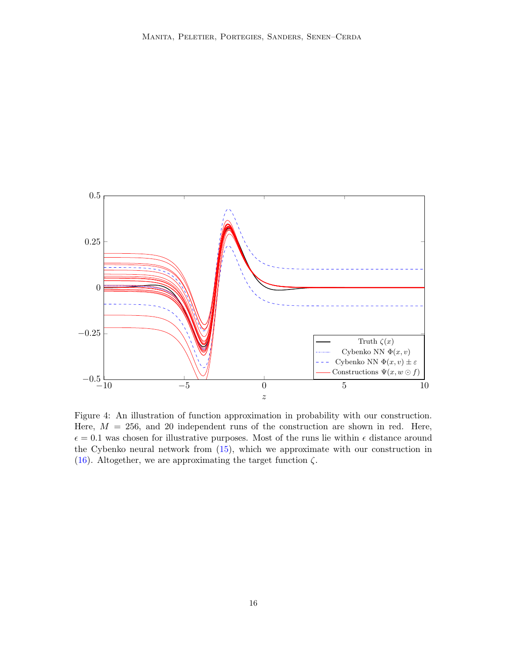<span id="page-15-0"></span>

Figure 4: An illustration of function approximation in probability with our construction. Here,  $M = 256$ , and 20 independent runs of the construction are shown in red. Here,  $\epsilon = 0.1$  was chosen for illustrative purposes. Most of the runs lie within  $\epsilon$  distance around the Cybenko neural network from [\(15\)](#page-10-2), which we approximate with our construction in [\(16\)](#page-10-3). Altogether, we are approximating the target function  $\zeta$ .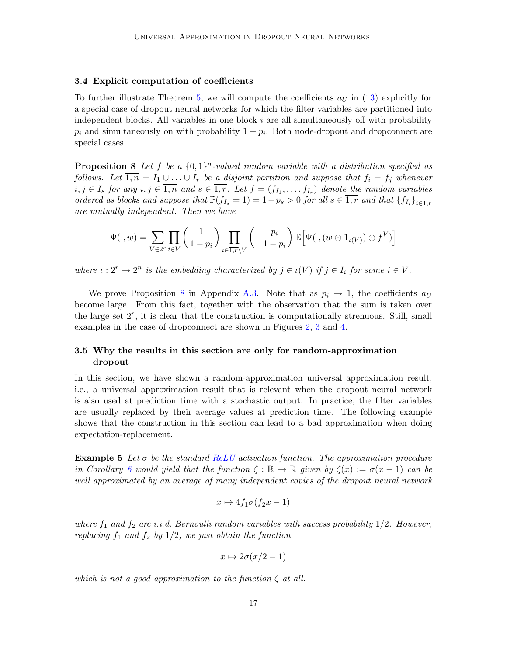#### <span id="page-16-1"></span>3.4 Explicit computation of coefficients

To further illustrate Theorem [5,](#page-9-1) we will compute the coefficients  $a_{U}$  in [\(13\)](#page-10-0) explicitly for a special case of dropout neural networks for which the filter variables are partitioned into independent blocks. All variables in one block  $i$  are all simultaneously off with probability  $p_i$  and simultaneously on with probability  $1 - p_i$ . Both node-dropout and dropconnect are special cases.

**Proposition 8** Let f be a  $\{0,1\}^n$ -valued random variable with a distribution specified as follows. Let  $\overline{1,n} = I_1 \cup \ldots \cup I_r$  be a disjoint partition and suppose that  $f_i = f_j$  whenever  $i, j \in I_s$  for any  $i, j \in 1, n$  and  $s \in 1, r$ . Let  $f = (f_{I_1}, \ldots, f_{I_r})$  denote the random variables ordered as blocks and suppose that  $\mathbb{P}(f_{I_s} = 1) = 1 - p_s > 0$  for all  $s \in \overline{1, r}$  and that  $\{f_{I_i}\}_{i \in \overline{1, r}}$ are mutually independent. Then we have

<span id="page-16-2"></span>
$$
\Psi(\cdot, w) = \sum_{V \in 2^r} \prod_{i \in V} \left( \frac{1}{1 - p_i} \right) \prod_{i \in \overline{1, r} \setminus V} \left( -\frac{p_i}{1 - p_i} \right) \mathbb{E} \Big[ \Psi(\cdot, (w \odot \mathbf{1}_{\iota(V)}) \odot f^V) \Big]
$$

where  $\iota: 2^r \to 2^n$  is the embedding characterized by  $j \in \iota(V)$  if  $j \in I_i$  for some  $i \in V$ .

We prove Proposition [8](#page-16-2) in Appendix [A.3.](#page-31-0) Note that as  $p_i \to 1$ , the coefficients  $a_U$ become large. From this fact, together with the observation that the sum is taken over the large set  $2^r$ , it is clear that the construction is computationally strenuous. Still, small examples in the case of dropconnect are shown in Figures [2,](#page-11-1) [3](#page-13-0) and [4.](#page-15-0)

# 3.5 Why the results in this section are only for random-approximation dropout

In this section, we have shown a random-approximation universal approximation result, i.e., a universal approximation result that is relevant when the dropout neural network is also used at prediction time with a stochastic output. In practice, the filter variables are usually replaced by their average values at prediction time. The following example shows that the construction in this section can lead to a bad approximation when doing expectation-replacement.

<span id="page-16-0"></span>**Example 5** Let  $\sigma$  be the standard ReLU activation function. The approximation procedure in Corollary [6](#page-14-0) would yield that the function  $\zeta : \mathbb{R} \to \mathbb{R}$  given by  $\zeta(x) := \sigma(x-1)$  can be well approximated by an average of many independent copies of the dropout neural network

$$
x \mapsto 4f_1\sigma(f_2x - 1)
$$

where  $f_1$  and  $f_2$  are i.i.d. Bernoulli random variables with success probability  $1/2$ . However, replacing  $f_1$  and  $f_2$  by  $1/2$ , we just obtain the function

$$
x \mapsto 2\sigma(x/2 - 1)
$$

which is not a good approximation to the function  $\zeta$  at all.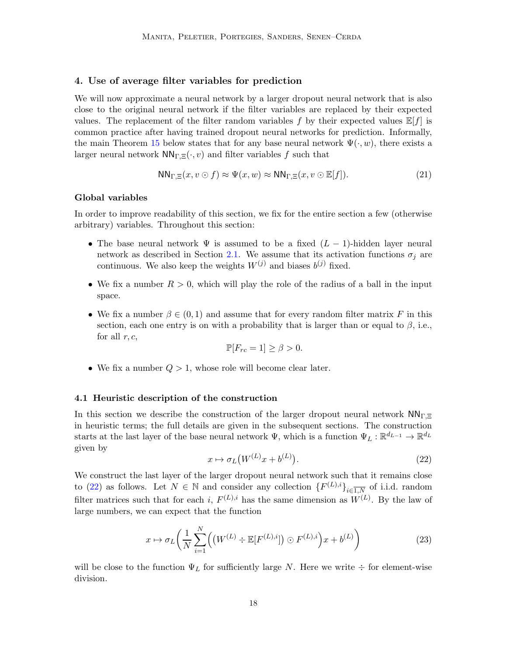## <span id="page-17-0"></span>4. Use of average filter variables for prediction

We will now approximate a neural network by a larger dropout neural network that is also close to the original neural network if the filter variables are replaced by their expected values. The replacement of the filter random variables f by their expected values  $\mathbb{E}[f]$  is common practice after having trained dropout neural networks for prediction. Informally, the main Theorem [15](#page-24-0) below states that for any base neural network  $\Psi(\cdot, w)$ , there exists a larger neural network  $NN_{\Gamma,\Xi}(\cdot,v)$  and filter variables f such that

$$
NN_{\Gamma,\Xi}(x,v\odot f) \approx \Psi(x,w) \approx NN_{\Gamma,\Xi}(x,v\odot \mathbb{E}[f]). \tag{21}
$$

### Global variables

In order to improve readability of this section, we fix for the entire section a few (otherwise arbitrary) variables. Throughout this section:

- The base neural network  $\Psi$  is assumed to be a fixed  $(L-1)$ -hidden layer neural network as described in Section [2.1.](#page-8-5) We assume that its activation functions  $\sigma_i$  are continuous. We also keep the weights  $W^{(j)}$  and biases  $b^{(j)}$  fixed.
- We fix a number  $R > 0$ , which will play the role of the radius of a ball in the input space.
- We fix a number  $\beta \in (0,1)$  and assume that for every random filter matrix F in this section, each one entry is on with a probability that is larger than or equal to  $\beta$ , i.e., for all  $r, c$ ,

$$
\mathbb{P}[F_{rc} = 1] \ge \beta > 0.
$$

• We fix a number  $Q > 1$ , whose role will become clear later.

### 4.1 Heuristic description of the construction

In this section we describe the construction of the larger dropout neural network  $NN_{\Gamma,\Xi}$ in heuristic terms; the full details are given in the subsequent sections. The construction starts at the last layer of the base neural network  $\Psi$ , which is a function  $\Psi_L : \mathbb{R}^{d_{L-1}} \to \mathbb{R}^{d_L}$ given by

<span id="page-17-2"></span>
$$
x \mapsto \sigma_L \big( W^{(L)} x + b^{(L)} \big). \tag{22}
$$

<span id="page-17-1"></span>We construct the last layer of the larger dropout neural network such that it remains close to [\(22\)](#page-17-1) as follows. Let  $N \in \mathbb{N}$  and consider any collection  $\{F^{(L),i}\}_{i\in\overline{1,N}}$  of i.i.d. random filter matrices such that for each i,  $F^{(L),i}$  has the same dimension as  $W^{(L)}$ . By the law of large numbers, we can expect that the function

$$
x \mapsto \sigma_L\left(\frac{1}{N}\sum_{i=1}^N \left(\left(W^{(L)} \div \mathbb{E}[F^{(L),i}]\right) \odot F^{(L),i}\right) x + b^{(L)}\right) \tag{23}
$$

will be close to the function  $\Psi_L$  for sufficiently large N. Here we write  $\div$  for element-wise division.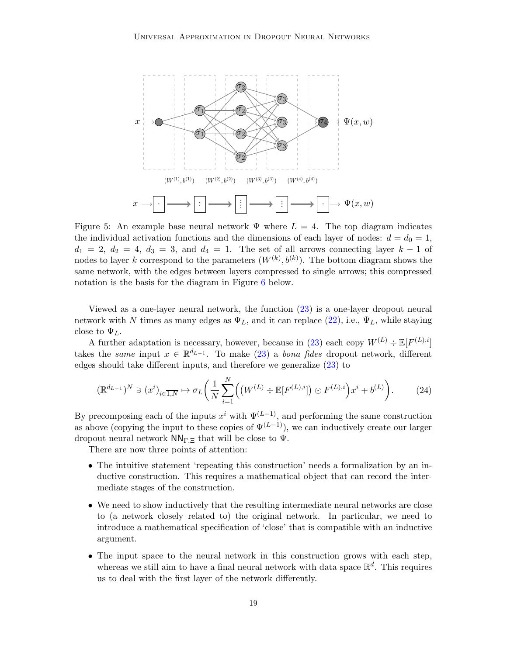<span id="page-18-0"></span>

Figure 5: An example base neural network  $\Psi$  where  $L = 4$ . The top diagram indicates the individual activation functions and the dimensions of each layer of nodes:  $d = d_0 = 1$ ,  $d_1 = 2, d_2 = 4, d_3 = 3,$  and  $d_4 = 1$ . The set of all arrows connecting layer  $k-1$  of nodes to layer k correspond to the parameters  $(W^{(k)}, b^{(k)})$ . The bottom diagram shows the same network, with the edges between layers compressed to single arrows; this compressed notation is the basis for the diagram in Figure [6](#page-23-0) below.

Viewed as a one-layer neural network, the function [\(23\)](#page-17-2) is a one-layer dropout neural network with N times as many edges as  $\Psi_L$ , and it can replace [\(22\)](#page-17-1), i.e.,  $\Psi_L$ , while staying close to  $\Psi_L$ .

A further adaptation is necessary, however, because in [\(23\)](#page-17-2) each copy  $W^{(L)} \div \mathbb{E}[F^{(L),i}]$ takes the *same* input  $x \in \mathbb{R}^{d_{L-1}}$ . To make [\(23\)](#page-17-2) a *bona fides* dropout network, different edges should take different inputs, and therefore we generalize [\(23\)](#page-17-2) to

$$
(\mathbb{R}^{d_{L-1}})^N \ni (x^i)_{i \in \overline{1,N}} \mapsto \sigma_L \bigg(\frac{1}{N} \sum_{i=1}^N \Big( \big(W^{(L)} \div \mathbb{E}[F^{(L),i}]\Big) \odot F^{(L),i} \bigg) x^i + b^{(L)} \bigg). \tag{24}
$$

By precomposing each of the inputs  $x^i$  with  $\Psi^{(L-1)}$ , and performing the same construction as above (copying the input to these copies of  $\Psi^{(L-1)}$ ), we can inductively create our larger dropout neural network  $NN_{\Gamma,\Xi}$  that will be close to  $\Psi$ .

There are now three points of attention:

- The intuitive statement 'repeating this construction' needs a formalization by an inductive construction. This requires a mathematical object that can record the intermediate stages of the construction.
- We need to show inductively that the resulting intermediate neural networks are close to (a network closely related to) the original network. In particular, we need to introduce a mathematical specification of 'close' that is compatible with an inductive argument.
- The input space to the neural network in this construction grows with each step, whereas we still aim to have a final neural network with data space  $\mathbb{R}^d$ . This requires us to deal with the first layer of the network differently.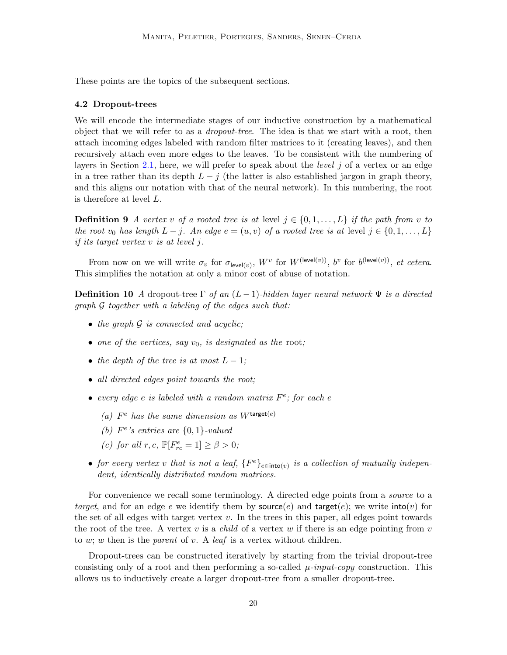These points are the topics of the subsequent sections.

### 4.2 Dropout-trees

We will encode the intermediate stages of our inductive construction by a mathematical object that we will refer to as a *dropout-tree*. The idea is that we start with a root, then attach incoming edges labeled with random filter matrices to it (creating leaves), and then recursively attach even more edges to the leaves. To be consistent with the numbering of layers in Section [2.1,](#page-8-5) here, we will prefer to speak about the *level*  $j$  of a vertex or an edge in a tree rather than its depth  $L - j$  (the latter is also established jargon in graph theory, and this aligns our notation with that of the neural network). In this numbering, the root is therefore at level L.

**Definition 9** A vertex v of a rooted tree is at level  $j \in \{0, 1, \ldots, L\}$  if the path from v to the root  $v_0$  has length  $L - j$ . An edge  $e = (u, v)$  of a rooted tree is at level  $j \in \{0, 1, \ldots, L\}$ if its target vertex v is at level j.

From now on we will write  $\sigma_v$  for  $\sigma_{\text{level}(v)}$ ,  $W^v$  for  $W^{(\text{level}(v))}$ ,  $b^v$  for  $b^{(\text{level}(v))}$ , et cetera. This simplifies the notation at only a minor cost of abuse of notation.

**Definition 10** A dropout-tree  $\Gamma$  of an  $(L-1)$ -hidden layer neural network  $\Psi$  is a directed graph G together with a labeling of the edges such that:

- the graph  $G$  is connected and acyclic;
- one of the vertices, say  $v_0$ , is designated as the root;
- the depth of the tree is at most  $L-1$ ;
- all directed edges point towards the root;
- every edge e is labeled with a random matrix  $F^e$ ; for each e
	- (a)  $F^e$  has the same dimension as  $W^{\text{target}(e)}$
	- (b)  $F^e$ 's entries are  $\{0,1\}$ -valued
	- (c) for all  $r, c$ ,  $\mathbb{P}[F_{rc}^e = 1] \ge \beta > 0$ ;
- for every vertex v that is not a leaf,  $\{F^e\}_{e \in \text{into}(v)}$  is a collection of mutually independent, identically distributed random matrices.

For convenience we recall some terminology. A directed edge points from a *source* to a target, and for an edge e we identify them by source(e) and target(e); we write  $\text{into}(v)$  for the set of all edges with target vertex  $v$ . In the trees in this paper, all edges point towards the root of the tree. A vertex v is a *child* of a vertex w if there is an edge pointing from v to w; w then is the parent of v. A leaf is a vertex without children.

<span id="page-19-0"></span>Dropout-trees can be constructed iteratively by starting from the trivial dropout-tree consisting only of a root and then performing a so-called  $\mu$ -input-copy construction. This allows us to inductively create a larger dropout-tree from a smaller dropout-tree.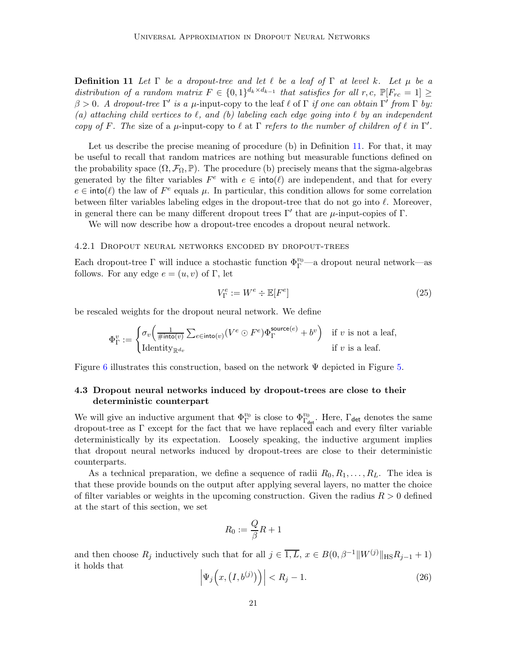**Definition 11** Let  $\Gamma$  be a dropout-tree and let  $\ell$  be a leaf of  $\Gamma$  at level k. Let  $\mu$  be a distribution of a random matrix  $F \in \{0,1\}^{d_k \times d_{k-1}}$  that satisfies for all  $r, c$ ,  $\mathbb{P}[F_{rc} = 1] \geq$  $\beta > 0$ . A dropout-tree Γ' is a μ-input-copy to the leaf  $\ell$  of Γ if one can obtain Γ' from Γ by: (a) attaching child vertices to  $\ell$ , and (b) labeling each edge going into  $\ell$  by an independent copy of F. The size of a  $\mu$ -input-copy to  $\ell$  at  $\Gamma$  refers to the number of children of  $\ell$  in  $\Gamma'$ .

Let us describe the precise meaning of procedure (b) in Definition [11.](#page-19-0) For that, it may be useful to recall that random matrices are nothing but measurable functions defined on the probability space  $(\Omega, \mathcal{F}_{\Omega}, \mathbb{P})$ . The procedure (b) precisely means that the sigma-algebras generated by the filter variables  $F^e$  with  $e \in \text{into}(\ell)$  are independent, and that for every  $e \in \text{into}(\ell)$  the law of  $F^e$  equals  $\mu$ . In particular, this condition allows for some correlation between filter variables labeling edges in the dropout-tree that do not go into  $\ell$ . Moreover, in general there can be many different dropout trees  $\Gamma'$  that are  $\mu$ -input-copies of  $\Gamma$ .

We will now describe how a dropout-tree encodes a dropout neural network.

#### 4.2.1 Dropout neural networks encoded by dropout-trees

Each dropout-tree  $\Gamma$  will induce a stochastic function  $\Phi_{\Gamma}^{v_0}$ —a dropout neural network—as follows. For any edge  $e = (u, v)$  of Γ, let

<span id="page-20-1"></span>
$$
V_{\Gamma}^{e} := W^{e} \div \mathbb{E}[F^{e}] \tag{25}
$$

be rescaled weights for the dropout neural network. We define

$$
\Phi^v_{\Gamma}:=\begin{cases} \sigma_v\Big(\frac{1}{\#\textsf{into}(v)}\sum_{e\in\textsf{into}(v)}(V^e\odot F^e)\Phi^{\textsf{source}(e)}_{\Gamma}+b^v\Big) & \text{if $v$ is not a leaf,}\\ \text{Identity}_{\mathbb R^{d_v}} & \text{if $v$ is a leaf.}\end{cases}
$$

Figure [6](#page-23-0) illustrates this construction, based on the network  $\Psi$  depicted in Figure [5.](#page-18-0)

# 4.3 Dropout neural networks induced by dropout-trees are close to their deterministic counterpart

We will give an inductive argument that  $\Phi_{\Gamma}^{v_0}$  is close to  $\Phi_{\Gamma_{\text{det}}}^{v_0}$ . Here,  $\Gamma_{\text{det}}$  denotes the same dropout-tree as Γ except for the fact that we have replaced each and every filter variable deterministically by its expectation. Loosely speaking, the inductive argument implies that dropout neural networks induced by dropout-trees are close to their deterministic counterparts.

As a technical preparation, we define a sequence of radii  $R_0, R_1, \ldots, R_L$ . The idea is that these provide bounds on the output after applying several layers, no matter the choice of filter variables or weights in the upcoming construction. Given the radius  $R > 0$  defined at the start of this section, we set

$$
R_0:=\frac{Q}{\beta}R+1
$$

<span id="page-20-0"></span>and then choose  $R_j$  inductively such that for all  $j \in \overline{1, L}$ ,  $x \in B(0, \beta^{-1}||W^{(j)}||_{\text{HS}}R_{j-1} + 1)$ it holds that

$$
\left|\Psi_j\left(x,\left(I,b^{(j)}\right)\right)\right| < R_j - 1.\tag{26}
$$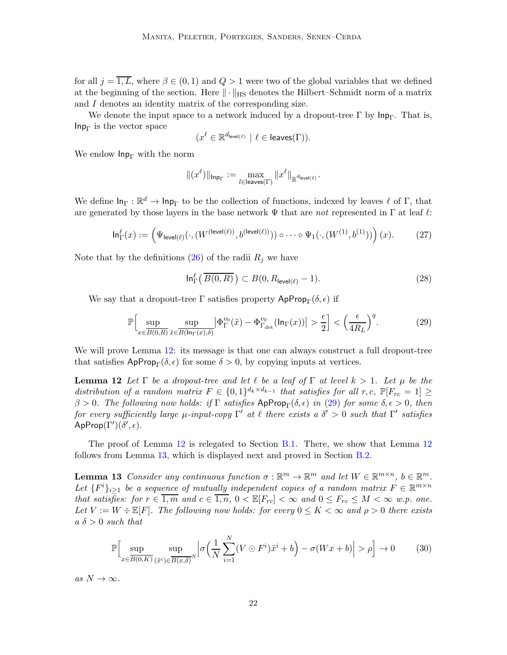for all  $j = \overline{1, L}$ , where  $\beta \in (0, 1)$  and  $Q > 1$  were two of the global variables that we defined at the beginning of the section. Here  $\|\cdot\|_{\text{HS}}$  denotes the Hilbert–Schmidt norm of a matrix and I denotes an identity matrix of the corresponding size.

We denote the input space to a network induced by a dropout-tree  $\Gamma$  by  $\mathsf{Inp}_{\Gamma}$ . That is,  $\mathsf{Inp}_{\Gamma}$  is the vector space

<span id="page-21-3"></span>
$$
(x^{\ell} \in \mathbb{R}^{d_{\text{level}(\ell)}} \mid \ell \in \text{leaves}(\Gamma)).
$$

We endow  $\mathsf{Inp}_{\Gamma}$  with the norm

$$
\|(x^\ell)\|_{{\mathsf{Inp}}_\Gamma}:=\max_{l\in {\mathsf{leaves}}(\Gamma)}\|x^\ell\|_{{\mathbb{R}}^{d_{\mathsf{level}(\ell)}}}.
$$

We define  $\ln_{\Gamma} : \mathbb{R}^d \to \ln_{\Gamma}$  to be the collection of functions, indexed by leaves  $\ell$  of  $\Gamma$ , that are generated by those layers in the base network  $\Psi$  that are not represented in  $\Gamma$  at leaf  $\ell$ :

$$
\ln_{\Gamma}^{\ell}(x) := \left(\Psi_{\mathsf{level}(\ell)}(\cdot, (W^{(\mathsf{level}(\ell))}, b^{(\mathsf{level}(\ell))})) \circ \cdots \circ \Psi_1(\cdot, (W^{(1)}, b^{(1)}))\right)(x). \tag{27}
$$

Note that by the definitions  $(26)$  of the radii  $R_j$  we have

<span id="page-21-2"></span><span id="page-21-1"></span>
$$
\ln_{\Gamma}^{\ell}(\overline{B(0,R)}) \subset B(0,R_{\text{level}(\ell)}-1). \tag{28}
$$

We say that a dropout-tree Γ satisfies property  $\mathsf{Approp}_{\Gamma}(\delta, \epsilon)$  if

$$
\mathbb{P}\Big[\sup_{x\in\overline{B(0,R)}}\sup_{\tilde{x}\in\overline{B(\ln_{\Gamma}(x),\delta)}}\left|\Phi_{\Gamma}^{v_0}(\tilde{x})-\Phi_{\Gamma_{\text{det}}}^{v_0}(\ln_{\Gamma}(x))\right|>\frac{\epsilon}{2}\Big] < \left(\frac{\epsilon}{4R_L}\right)^q.\tag{29}
$$

We will prove Lemma [12:](#page-21-1) its message is that one can always construct a full dropout-tree that satisfies  $\mathsf{AppProp}_{\Gamma}(\delta,\epsilon)$  for some  $\delta > 0$ , by copying inputs at vertices.

**Lemma 12** Let  $\Gamma$  be a dropout-tree and let  $\ell$  be a leaf of  $\Gamma$  at level  $k > 1$ . Let  $\mu$  be the distribution of a random matrix  $F \in \{0,1\}^{d_k \times d_{k-1}}$  that satisfies for all  $r, c$ ,  $\mathbb{P}[F_{rc} = 1] \geq$  $β > 0$ . The following now holds: if Γ satisfies ApProp<sub>Γ</sub>(δ, ε) in [\(29\)](#page-21-2) for some  $δ, ε > 0$ , then for every sufficiently large  $\mu$ -input-copy  $\Gamma'$  at  $\ell$  there exists a  $\delta' > 0$  such that  $\Gamma'$  satisfies  $\mathsf{AppProp}(\Gamma')(\delta',\epsilon).$ 

<span id="page-21-0"></span>The proof of Lemma [12](#page-21-1) is relegated to Section [B.1.](#page-34-0) There, we show that Lemma [12](#page-21-1) follows from Lemma [13,](#page-21-0) which is displayed next and proved in Section [B.2.](#page-36-0)

**Lemma 13** Consider any continuous function  $\sigma : \mathbb{R}^m \to \mathbb{R}^m$  and let  $W \in \mathbb{R}^{m \times n}$ ,  $b \in \mathbb{R}^m$ . Let  $\{F^i\}_{i\geq 1}$  be a sequence of mutually independent copies of a random matrix  $F \in \mathbb{R}^{m \times n}$ that satisfies: for  $r \in \overline{1,m}$  and  $c \in \overline{1,n}$ ,  $0 < \mathbb{E}[F_{rc}] < \infty$  and  $0 \leq F_{rc} \leq M < \infty$  w.p. one. Let  $V := W \div \mathbb{E}[F]$ . The following now holds: for every  $0 \leq K < \infty$  and  $\rho > 0$  there exists  $a \delta > 0$  such that

<span id="page-21-4"></span>
$$
\mathbb{P}\Big[\sup_{x\in\overline{B(0,K)}}\sup_{(\tilde{x}^i)\in\overline{B(x,\delta)}^N}\Big|\sigma\Big(\frac{1}{N}\sum_{i=1}^N(V\odot F^i)\tilde{x}^i+b\Big)-\sigma(Wx+b)\Big|>\rho\Big]\to 0\tag{30}
$$

as  $N \to \infty$ .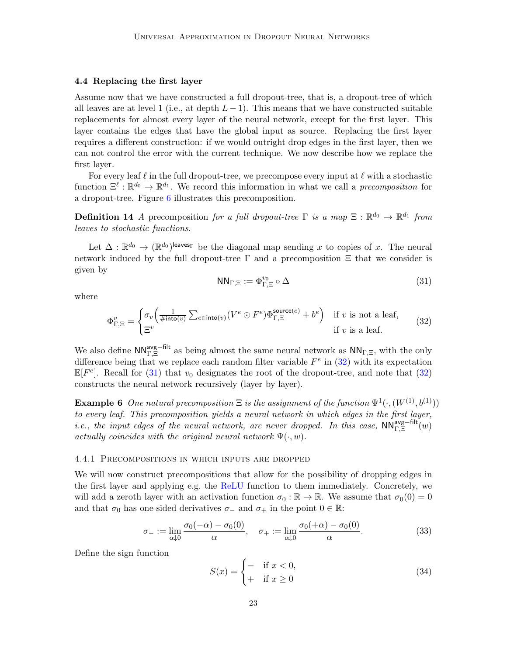## 4.4 Replacing the first layer

Assume now that we have constructed a full dropout-tree, that is, a dropout-tree of which all leaves are at level 1 (i.e., at depth  $L-1$ ). This means that we have constructed suitable replacements for almost every layer of the neural network, except for the first layer. This layer contains the edges that have the global input as source. Replacing the first layer requires a different construction: if we would outright drop edges in the first layer, then we can not control the error with the current technique. We now describe how we replace the first layer.

For every leaf  $\ell$  in the full dropout-tree, we precompose every input at  $\ell$  with a stochastic function  $\Xi^{\ell} : \mathbb{R}^{d_0} \to \mathbb{R}^{d_1}$ . We record this information in what we call a *precomposition* for a dropout-tree. Figure [6](#page-23-0) illustrates this precomposition.

**Definition 14** A precomposition for a full dropout-tree  $\Gamma$  is a map  $\Xi$  :  $\mathbb{R}^{d_0} \to \mathbb{R}^{d_1}$  from leaves to stochastic functions.

<span id="page-22-1"></span>Let  $\Delta : \mathbb{R}^{d_0} \to (\mathbb{R}^{d_0})^{\text{leaves}}$  be the diagonal map sending x to copies of x. The neural network induced by the full dropout-tree  $\Gamma$  and a precomposition  $\Xi$  that we consider is given by

$$
\mathsf{NN}_{\Gamma,\Xi} := \Phi_{\Gamma,\Xi}^{v_0} \circ \Delta \tag{31}
$$

where

<span id="page-22-0"></span>
$$
\Phi_{\Gamma,\Xi}^{v} = \begin{cases}\n\sigma_v \left( \frac{1}{\#\text{into}(v)} \sum_{e \in \text{into}(v)} (V^e \odot F^e) \Phi_{\Gamma,\Xi}^{\text{source}(e)} + b^e \right) & \text{if } v \text{ is not a leaf,} \\
\Xi^v & \text{if } v \text{ is a leaf.}\n\end{cases}
$$
\n(32)

We also define  $NN_{\Gamma,\Xi}^{\text{avg-filt}}$  as being almost the same neural network as  $NN_{\Gamma,\Xi}$ , with the only difference being that we replace each random filter variable  $F^e$  in [\(32\)](#page-22-0) with its expectation  $\mathbb{E}[F^e]$ . Recall for [\(31\)](#page-22-1) that  $v_0$  designates the root of the dropout-tree, and note that [\(32\)](#page-22-0) constructs the neural network recursively (layer by layer).

**Example 6** One natural precomposition  $\Xi$  is the assignment of the function  $\Psi^1(\cdot, (W^{(1)}, b^{(1)}))$ to every leaf. This precomposition yields a neural network in which edges in the first layer, i.e., the input edges of the neural network, are never dropped. In this case,  $NN_{\Gamma,\Xi}^{\text{avg-fit}}(w)$ actually coincides with the original neural network  $\Psi(\cdot, w)$ .

#### 4.4.1 Precompositions in which inputs are dropped

We will now construct precompositions that allow for the possibility of dropping edges in the first layer and applying e.g. the ReLU function to them immediately. Concretely, we will add a zeroth layer with an activation function  $\sigma_0 : \mathbb{R} \to \mathbb{R}$ . We assume that  $\sigma_0(0) = 0$ and that  $\sigma_0$  has one-sided derivatives  $\sigma_-$  and  $\sigma_+$  in the point  $0 \in \mathbb{R}$ :

$$
\sigma_{-} := \lim_{\alpha \downarrow 0} \frac{\sigma_0(-\alpha) - \sigma_0(0)}{\alpha}, \quad \sigma_{+} := \lim_{\alpha \downarrow 0} \frac{\sigma_0(+\alpha) - \sigma_0(0)}{\alpha}.
$$
 (33)

Define the sign function

<span id="page-22-3"></span><span id="page-22-2"></span>
$$
S(x) = \begin{cases} - & \text{if } x < 0, \\ + & \text{if } x \ge 0 \end{cases} \tag{34}
$$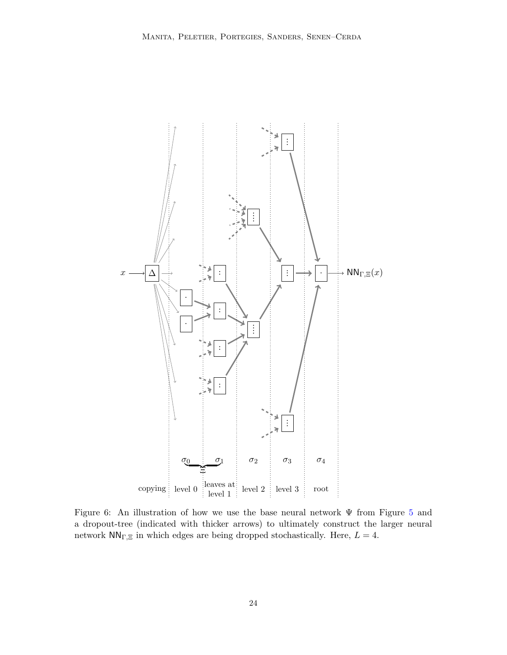<span id="page-23-0"></span>

Figure 6: An illustration of how we use the base neural network Ψ from Figure [5](#page-18-0) and a dropout-tree (indicated with thicker arrows) to ultimately construct the larger neural network $\mathsf{NN}_{\Gamma,\Xi}$  in which edges are being dropped stochastically. Here,  $L=4.$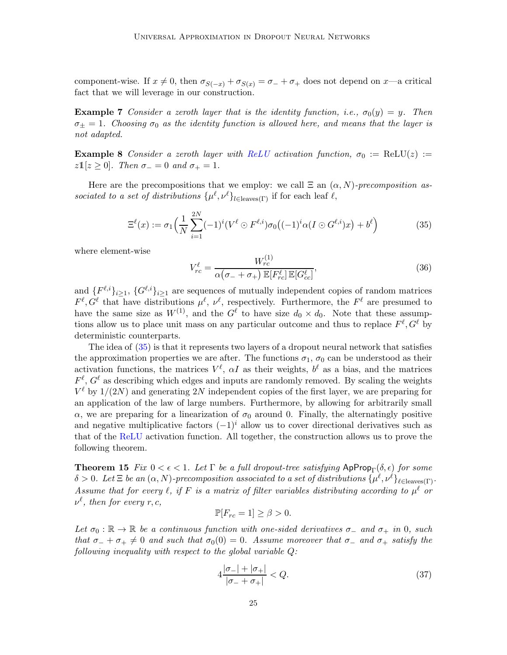component-wise. If  $x \neq 0$ , then  $\sigma_{S(-x)} + \sigma_{S(x)} = \sigma_- + \sigma_+$  does not depend on x—a critical fact that we will leverage in our construction.

**Example 7** Consider a zeroth layer that is the identity function, i.e.,  $\sigma_0(y) = y$ . Then  $\sigma_{\pm} = 1$ . Choosing  $\sigma_0$  as the identity function is allowed here, and means that the layer is not adapted.

**Example 8** Consider a zeroth layer with ReLU activation function,  $\sigma_0 := \text{ReLU}(z) :=$  $z1[z \geq 0]$ . Then  $\sigma_- = 0$  and  $\sigma_+ = 1$ .

Here are the precompositions that we employ: we call  $\Xi$  an  $(\alpha, N)$ -precomposition associated to a set of distributions  $\{\mu^{\ell}, \nu^{\ell}\}_{l \in \text{leaves}(\Gamma)}$  if for each leaf  $\ell$ ,

$$
\Xi^{\ell}(x) := \sigma_1\Big(\frac{1}{N}\sum_{i=1}^{2N}(-1)^i(V^{\ell}\odot F^{\ell,i})\sigma_0\big((-1)^i\alpha(I\odot G^{\ell,i})x\big) + b^{\ell}\Big) \tag{35}
$$

where element-wise

<span id="page-24-3"></span><span id="page-24-1"></span>
$$
V_{rc}^{\ell} = \frac{W_{rc}^{(1)}}{\alpha(\sigma_- + \sigma_+) \mathbb{E}[F_{rc}^{\ell}] \mathbb{E}[G_{cc}^{\ell}]},\tag{36}
$$

and  $\{F^{\ell,i}\}_{i\geq 1}$ ,  $\{G^{\ell,i}\}_{i\geq 1}$  are sequences of mutually independent copies of random matrices  $F^{\ell}, G^{\ell}$  that have distributions  $\mu^{\ell}, \nu^{\ell}$ , respectively. Furthermore, the  $F^{\ell}$  are presumed to have the same size as  $W^{(1)}$ , and the  $G^{\ell}$  to have size  $d_0 \times d_0$ . Note that these assumptions allow us to place unit mass on any particular outcome and thus to replace  $F^{\ell}, G^{\ell}$  by deterministic counterparts.

The idea of [\(35\)](#page-24-1) is that it represents two layers of a dropout neural network that satisfies the approximation properties we are after. The functions  $\sigma_1$ ,  $\sigma_0$  can be understood as their activation functions, the matrices  $V^{\ell}$ ,  $\alpha I$  as their weights,  $b^{\ell}$  as a bias, and the matrices  $F^{\ell}, G^{\ell}$  as describing which edges and inputs are randomly removed. By scaling the weights  $V^{\ell}$  by  $1/(2N)$  and generating  $2N$  independent copies of the first layer, we are preparing for an application of the law of large numbers. Furthermore, by allowing for arbitrarily small  $\alpha$ , we are preparing for a linearization of  $\sigma_0$  around 0. Finally, the alternatingly positive and negative multiplicative factors  $(-1)^i$  allow us to cover directional derivatives such as that of the ReLU activation function. All together, the construction allows us to prove the following theorem.

<span id="page-24-0"></span>**Theorem 15** Fix  $0 < \epsilon < 1$ . Let  $\Gamma$  be a full dropout-tree satisfying ApProp<sub> $\Gamma$ </sub>( $\delta$ , $\epsilon$ ) for some  $\delta > 0$ . Let  $\Xi$  be an  $(\alpha, N)$ -precomposition associated to a set of distributions  $\{\mu^{\ell}, \nu^{\ell}\}_{\ell \in \text{leaves}(\Gamma)}$ . Assume that for every  $\ell$ , if F is a matrix of filter variables distributing according to  $\mu^{\ell}$  or  $\nu^\ell$ , then for every r, c,

$$
\mathbb{P}[F_{rc} = 1] \ge \beta > 0.
$$

Let  $\sigma_0 : \mathbb{R} \to \mathbb{R}$  be a continuous function with one-sided derivatives  $\sigma_-$  and  $\sigma_+$  in 0, such that  $\sigma_- + \sigma_+ \neq 0$  and such that  $\sigma_0(0) = 0$ . Assume moreover that  $\sigma_-$  and  $\sigma_+$  satisfy the following inequality with respect to the global variable  $Q$ :

<span id="page-24-2"></span>
$$
4\frac{|\sigma_-| + |\sigma_+|}{|\sigma_- + \sigma_+|} < Q. \tag{37}
$$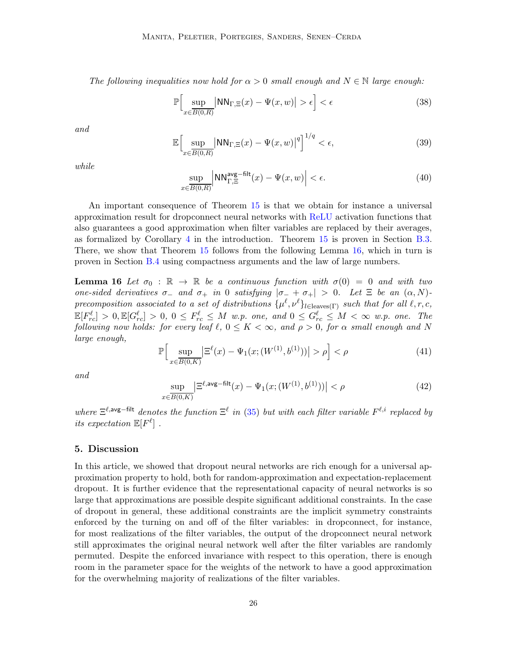The following inequalities now hold for  $\alpha > 0$  small enough and  $N \in \mathbb{N}$  large enough:

<span id="page-25-2"></span>
$$
\mathbb{P}\Big[\sup_{x\in\overline{B(0,R)}}\big|\text{NN}_{\Gamma,\Xi}(x)-\Psi(x,w)\big|>\epsilon\Big]<\epsilon\tag{38}
$$

<span id="page-25-6"></span>and

$$
\mathbb{E}\Big[\sup_{x\in\overline{B(0,R)}}|NN_{\Gamma,\Xi}(x)-\Psi(x,w)|^q\Big]^{1/q}<\epsilon,\tag{39}
$$

<span id="page-25-3"></span>while

$$
\sup_{x \in \overline{B(0,R)}} \left| \text{NN}_{\Gamma,\Xi}^{\text{avg-filt}}(x) - \Psi(x,w) \right| < \epsilon. \tag{40}
$$

An important consequence of Theorem [15](#page-24-0) is that we obtain for instance a universal approximation result for dropconnect neural networks with ReLU activation functions that also guarantees a good approximation when filter variables are replaced by their averages, as formalized by Corollary [4](#page-5-0) in the introduction. Theorem [15](#page-24-0) is proven in Section [B.3.](#page-37-0) There, we show that Theorem [15](#page-24-0) follows from the following Lemma [16,](#page-25-1) which in turn is proven in Section [B.4](#page-41-0) using compactness arguments and the law of large numbers.

<span id="page-25-1"></span>**Lemma 16** Let  $\sigma_0 : \mathbb{R} \to \mathbb{R}$  be a continuous function with  $\sigma(0) = 0$  and with two one-sided derivatives  $\sigma_-\$  and  $\sigma_+\$  in 0 satisfying  $|\sigma_-\sigma_+| > 0$ . Let  $\Xi$  be an  $(\alpha, N)$ precomposition associated to a set of distributions  $\{\mu^{\ell}, \nu^{\ell}\}_{l \in \text{leaves}(\Gamma)}$  such that for all  $\ell, r, c$ ,  $\mathbb{E}[F_{rc}^{\ell}] > 0, \mathbb{E}[G_{rc}^{\ell}] > 0, 0 \leq F_{rc}^{\ell} \leq M$  w.p. one, and  $0 \leq G_{rc}^{\ell} \leq M < \infty$  w.p. one. The following now holds: for every leaf  $\ell, 0 \leq K < \infty$ , and  $\rho > 0$ , for  $\alpha$  small enough and N large enough,

<span id="page-25-4"></span>
$$
\mathbb{P}\Big[\sup_{x \in \overline{B(0,K)}} \Big| \Xi^{\ell}(x) - \Psi_1(x; (W^{(1)}, b^{(1)})) \Big| > \rho \Big] < \rho \tag{41}
$$

<span id="page-25-5"></span>and

$$
\sup_{x \in \overline{B(0,K)}} \left| \Xi^{\ell, \text{avg-filt}}(x) - \Psi_1(x; (W^{(1)}, b^{(1)})) \right| < \rho \tag{42}
$$

where  $\Xi^{\ell, \text{avg-filt}}$  denotes the function  $\Xi^{\ell}$  in [\(35\)](#page-24-1) but with each filter variable  $F^{\ell, i}$  replaced by its expectation  $\mathbb{E}[F^{\ell}]$ .

## <span id="page-25-0"></span>5. Discussion

In this article, we showed that dropout neural networks are rich enough for a universal approximation property to hold, both for random-approximation and expectation-replacement dropout. It is further evidence that the representational capacity of neural networks is so large that approximations are possible despite significant additional constraints. In the case of dropout in general, these additional constraints are the implicit symmetry constraints enforced by the turning on and off of the filter variables: in dropconnect, for instance, for most realizations of the filter variables, the output of the dropconnect neural network still approximates the original neural network well after the filter variables are randomly permuted. Despite the enforced invariance with respect to this operation, there is enough room in the parameter space for the weights of the network to have a good approximation for the overwhelming majority of realizations of the filter variables.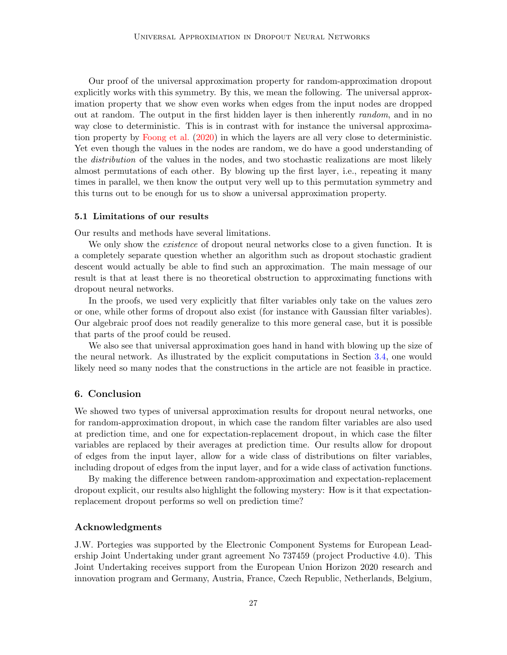Our proof of the universal approximation property for random-approximation dropout explicitly works with this symmetry. By this, we mean the following. The universal approximation property that we show even works when edges from the input nodes are dropped out at random. The output in the first hidden layer is then inherently random, and in no way close to deterministic. This is in contrast with for instance the universal approximation property by [Foong et al.](#page-28-3) [\(2020](#page-28-3)) in which the layers are all very close to deterministic. Yet even though the values in the nodes are random, we do have a good understanding of the *distribution* of the values in the nodes, and two stochastic realizations are most likely almost permutations of each other. By blowing up the first layer, i.e., repeating it many times in parallel, we then know the output very well up to this permutation symmetry and this turns out to be enough for us to show a universal approximation property.

#### 5.1 Limitations of our results

Our results and methods have several limitations.

We only show the *existence* of dropout neural networks close to a given function. It is a completely separate question whether an algorithm such as dropout stochastic gradient descent would actually be able to find such an approximation. The main message of our result is that at least there is no theoretical obstruction to approximating functions with dropout neural networks.

In the proofs, we used very explicitly that filter variables only take on the values zero or one, while other forms of dropout also exist (for instance with Gaussian filter variables). Our algebraic proof does not readily generalize to this more general case, but it is possible that parts of the proof could be reused.

We also see that universal approximation goes hand in hand with blowing up the size of the neural network. As illustrated by the explicit computations in Section [3.4,](#page-16-1) one would likely need so many nodes that the constructions in the article are not feasible in practice.

## <span id="page-26-0"></span>6. Conclusion

We showed two types of universal approximation results for dropout neural networks, one for random-approximation dropout, in which case the random filter variables are also used at prediction time, and one for expectation-replacement dropout, in which case the filter variables are replaced by their averages at prediction time. Our results allow for dropout of edges from the input layer, allow for a wide class of distributions on filter variables, including dropout of edges from the input layer, and for a wide class of activation functions.

By making the difference between random-approximation and expectation-replacement dropout explicit, our results also highlight the following mystery: How is it that expectationreplacement dropout performs so well on prediction time?

## Acknowledgments

J.W. Portegies was supported by the Electronic Component Systems for European Leadership Joint Undertaking under grant agreement No 737459 (project Productive 4.0). This Joint Undertaking receives support from the European Union Horizon 2020 research and innovation program and Germany, Austria, France, Czech Republic, Netherlands, Belgium,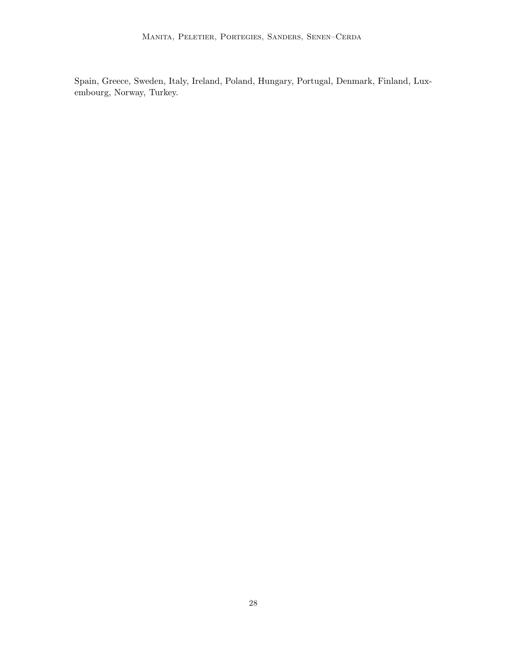Spain, Greece, Sweden, Italy, Ireland, Poland, Hungary, Portugal, Denmark, Finland, Luxembourg, Norway, Turkey.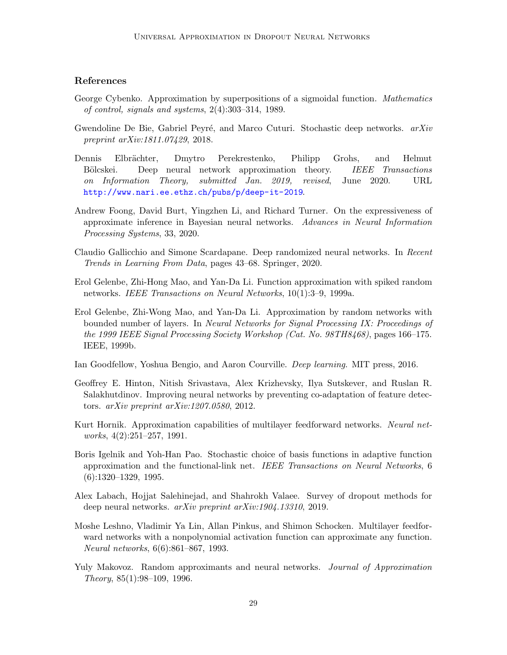# References

- <span id="page-28-0"></span>George Cybenko. Approximation by superpositions of a sigmoidal function. Mathematics of control, signals and systems, 2(4):303–314, 1989.
- <span id="page-28-12"></span>Gwendoline De Bie, Gabriel Peyré, and Marco Cuturi. Stochastic deep networks.  $arXiv$ preprint arXiv:1811.07429, 2018.
- <span id="page-28-13"></span>Dennis Elbrächter, Dmytro Perekrestenko, Philipp Grohs, and Helmut Bölcskei. Deep neural network approximation theory. *IEEE Transactions* on Information Theory, submitted Jan. 2019, revised, June 2020. URL <http://www.nari.ee.ethz.ch/pubs/p/deep-it-2019>.
- <span id="page-28-3"></span>Andrew Foong, David Burt, Yingzhen Li, and Richard Turner. On the expressiveness of approximate inference in Bayesian neural networks. Advances in Neural Information Processing Systems, 33, 2020.
- <span id="page-28-5"></span>Claudio Gallicchio and Simone Scardapane. Deep randomized neural networks. In Recent Trends in Learning From Data, pages 43–68. Springer, 2020.
- <span id="page-28-10"></span>Erol Gelenbe, Zhi-Hong Mao, and Yan-Da Li. Function approximation with spiked random networks. IEEE Transactions on Neural Networks, 10(1):3–9, 1999a.
- <span id="page-28-11"></span>Erol Gelenbe, Zhi-Wong Mao, and Yan-Da Li. Approximation by random networks with bounded number of layers. In Neural Networks for Signal Processing IX: Proceedings of the 1999 IEEE Signal Processing Society Workshop (Cat. No. 98TH8468), pages 166–175. IEEE, 1999b.
- <span id="page-28-2"></span>Ian Goodfellow, Yoshua Bengio, and Aaron Courville. Deep learning. MIT press, 2016.
- <span id="page-28-4"></span>Geoffrey E. Hinton, Nitish Srivastava, Alex Krizhevsky, Ilya Sutskever, and Ruslan R. Salakhutdinov. Improving neural networks by preventing co-adaptation of feature detectors. arXiv preprint arXiv:1207.0580, 2012.
- <span id="page-28-7"></span>Kurt Hornik. Approximation capabilities of multilayer feedforward networks. Neural networks, 4(2):251–257, 1991.
- <span id="page-28-9"></span>Boris Igelnik and Yoh-Han Pao. Stochastic choice of basis functions in adaptive function approximation and the functional-link net. IEEE Transactions on Neural Networks, 6 (6):1320–1329, 1995.
- <span id="page-28-6"></span>Alex Labach, Hojjat Salehinejad, and Shahrokh Valaee. Survey of dropout methods for deep neural networks. arXiv preprint arXiv:1904.13310, 2019.
- <span id="page-28-1"></span>Moshe Leshno, Vladimir Ya Lin, Allan Pinkus, and Shimon Schocken. Multilayer feedforward networks with a nonpolynomial activation function can approximate any function. Neural networks, 6(6):861–867, 1993.
- <span id="page-28-8"></span>Yuly Makovoz. Random approximants and neural networks. Journal of Approximation Theory, 85(1):98–109, 1996.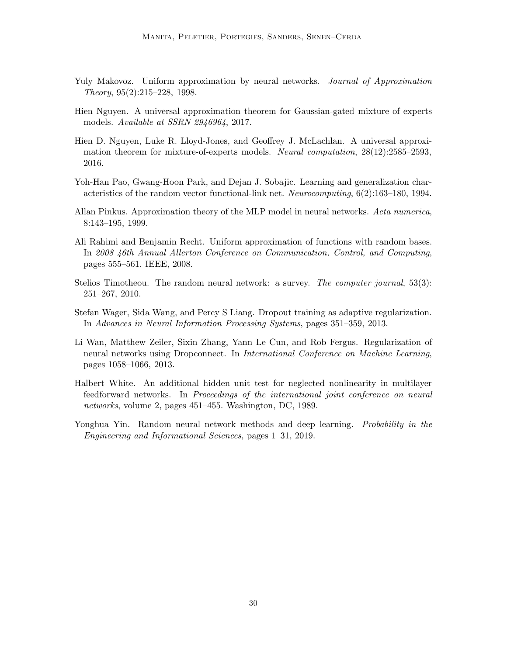- <span id="page-29-2"></span>Yuly Makovoz. Uniform approximation by neural networks. Journal of Approximation Theory, 95(2):215–228, 1998.
- <span id="page-29-7"></span>Hien Nguyen. A universal approximation theorem for Gaussian-gated mixture of experts models. Available at SSRN 2946964, 2017.
- <span id="page-29-6"></span>Hien D. Nguyen, Luke R. Lloyd-Jones, and Geoffrey J. McLachlan. A universal approximation theorem for mixture-of-experts models. Neural computation, 28(12):2585–2593, 2016.
- <span id="page-29-4"></span>Yoh-Han Pao, Gwang-Hoon Park, and Dejan J. Sobajic. Learning and generalization characteristics of the random vector functional-link net. Neurocomputing, 6(2):163–180, 1994.
- <span id="page-29-8"></span>Allan Pinkus. Approximation theory of the MLP model in neural networks. Acta numerica, 8:143–195, 1999.
- <span id="page-29-5"></span>Ali Rahimi and Benjamin Recht. Uniform approximation of functions with random bases. In 2008 46th Annual Allerton Conference on Communication, Control, and Computing, pages 555–561. IEEE, 2008.
- <span id="page-29-9"></span>Stelios Timotheou. The random neural network: a survey. The computer journal, 53(3): 251–267, 2010.
- <span id="page-29-0"></span>Stefan Wager, Sida Wang, and Percy S Liang. Dropout training as adaptive regularization. In Advances in Neural Information Processing Systems, pages 351–359, 2013.
- <span id="page-29-1"></span>Li Wan, Matthew Zeiler, Sixin Zhang, Yann Le Cun, and Rob Fergus. Regularization of neural networks using Dropconnect. In International Conference on Machine Learning, pages 1058–1066, 2013.
- <span id="page-29-3"></span>Halbert White. An additional hidden unit test for neglected nonlinearity in multilayer feedforward networks. In Proceedings of the international joint conference on neural networks, volume 2, pages 451–455. Washington, DC, 1989.
- <span id="page-29-10"></span>Yonghua Yin. Random neural network methods and deep learning. *Probability in the* Engineering and Informational Sciences, pages 1–31, 2019.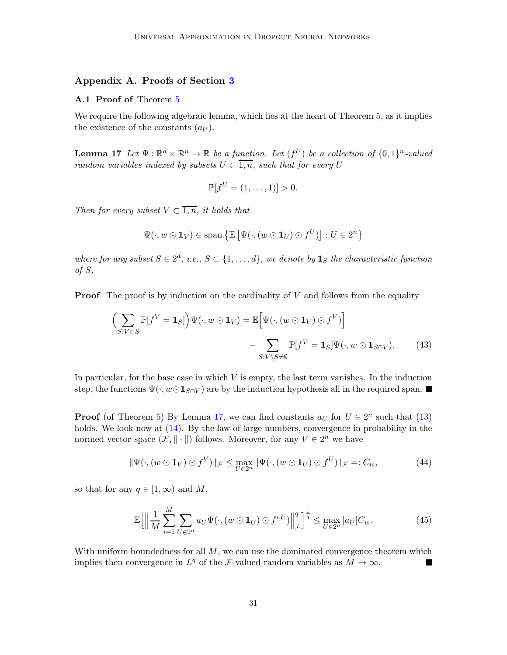# <span id="page-30-0"></span>Appendix A. Proofs of Section [3](#page-9-0)

## A.1 Proof of Theorem [5](#page-9-1)

<span id="page-30-1"></span>We require the following algebraic lemma, which lies at the heart of Theorem [5,](#page-9-1) as it implies the existence of the constants  $(a_U)$ .

**Lemma 17** Let  $\Psi : \mathbb{R}^d \times \mathbb{R}^n \to \mathbb{R}$  be a function. Let  $(f^U)$  be a collection of  $\{0,1\}^n$ -valued random variables indexed by subsets  $U \subset \overline{1,n}$ , such that for every U

$$
\mathbb{P}[f^{U} = (1, ..., 1)] > 0.
$$

Then for every subset  $V \subset \overline{1,n}$ , it holds that

$$
\Psi(\cdot, w \odot \mathbf{1}_V) \in \text{span}\left\{\mathbb{E}\left[\Psi(\cdot, (w \odot \mathbf{1}_U) \odot f^U)\right] : U \in 2^n\right\}
$$

where for any subset  $S \in 2^d$ , i.e.,  $S \subset \{1, \ldots, d\}$ , we denote by  $\mathbf{1}_S$  the characteristic function of S.

**Proof** The proof is by induction on the cardinality of V and follows from the equality

$$
\left(\sum_{S:V\subset S} \mathbb{P}[f^V = \mathbf{1}_S] \right) \Psi(\cdot, w \odot \mathbf{1}_V) = \mathbb{E}\Big[\Psi(\cdot, (w \odot \mathbf{1}_V) \odot f^V)\Big] - \sum_{S:V\setminus S \neq \emptyset} \mathbb{P}[f^V = \mathbf{1}_S] \Psi(\cdot, w \odot \mathbf{1}_{S\cap V}).\tag{43}
$$

In particular, for the base case in which  $V$  is empty, the last term vanishes. In the induction step, the functions  $\Psi(\cdot, w \odot \mathbf{1}_{S \cap V})$  are by the induction hypothesis all in the required span.

**Proof** (of Theorem [5\)](#page-9-1) By Lemma [17,](#page-30-1) we can find constants  $a_U$  for  $U \in 2^n$  such that [\(13\)](#page-10-0) holds. We look now at  $(14)$ . By the law of large numbers, convergence in probability in the normed vector space  $(\mathcal{F}, \|\cdot\|)$  follows. Moreover, for any  $V \in 2^n$  we have

$$
\|\Psi(\cdot,(w\odot\mathbf{1}_V)\odot f^V)\|_{\mathcal{F}} \leq \max_{U\in 2^n} \|\Psi(\cdot,(w\odot\mathbf{1}_U)\odot f^U)\|_{\mathcal{F}}=:C_w,\tag{44}
$$

so that for any  $q \in [1,\infty)$  and M,

$$
\mathbb{E}\Big[\Big\|\frac{1}{M}\sum_{i=1}^{M}\sum_{U\in 2^{n}}a_{U}\Psi(\cdot,(w\odot\mathbf{1}_{U})\odot f^{i,U})\Big\|_{\mathcal{F}}^{q}\Big]^{\frac{1}{q}}\leq \max_{U\in 2^{n}}|a_{U}|C_{w}.\tag{45}
$$

With uniform boundedness for all  $M$ , we can use the dominated convergence theorem which implies then convergence in  $L^q$  of the F-valued random variables as  $M \to \infty$ .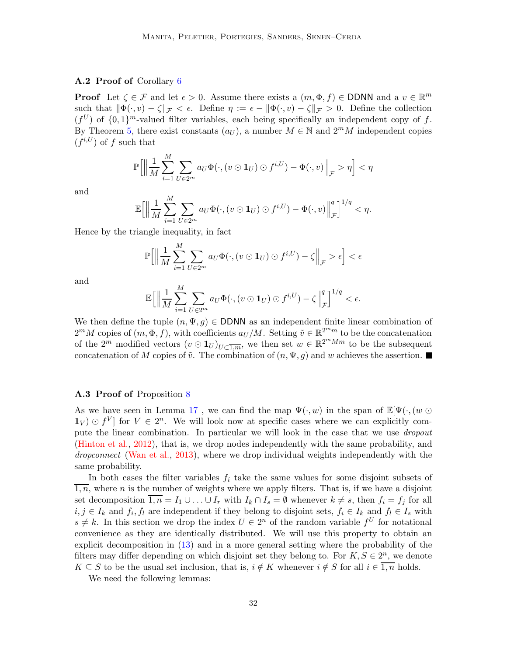## A.2 Proof of Corollary [6](#page-14-0)

**Proof** Let  $\zeta \in \mathcal{F}$  and let  $\epsilon > 0$ . Assume there exists a  $(m, \Phi, f) \in \mathsf{DDNN}$  and a  $v \in \mathbb{R}^m$ such that  $\|\Phi(\cdot, v) - \zeta\|_{\mathcal{F}} < \epsilon$ . Define  $\eta := \epsilon - \|\Phi(\cdot, v) - \zeta\|_{\mathcal{F}} > 0$ . Define the collection  $(f^U)$  of  $\{0,1\}^m$ -valued filter variables, each being specifically an independent copy of f. By Theorem [5,](#page-9-1) there exist constants  $(a_U)$ , a number  $M \in \mathbb{N}$  and  $2^mM$  independent copies  $(f^{i,U})$  of f such that

$$
\mathbb{P}\Big[\Big\|\frac{1}{M}\sum_{i=1}^M\sum_{U\in 2^m}a_U\Phi(\cdot,(v\odot\mathbf{1}_U)\odot f^{i,U})-\Phi(\cdot,v)\Big\|_{\mathcal{F}}>\eta\Big]<\eta
$$

and

$$
\mathbb{E}\Big[\Big\|\frac{1}{M}\sum_{i=1}^M\sum_{U\in 2^m}a_U\Phi(\cdot,(v\odot\mathbf{1}_U)\odot f^{i,U})-\Phi(\cdot,v)\Big\|_{\mathcal{F}}^q\Big]^{1/q}<\eta.
$$

Hence by the triangle inequality, in fact

$$
\mathbb{P}\Big[\Big\|\frac{1}{M}\sum_{i=1}^M\sum_{U\in 2^m}a_U\Phi(\cdot,(v\odot\mathbf{1}_U)\odot f^{i,U})-\zeta\Big\|_{\mathcal{F}}>\epsilon\Big]<\epsilon
$$

and

$$
\mathbb{E}\Big[\Big\|\frac{1}{M}\sum_{i=1}^M\sum_{U\in 2^m}a_U\Phi(\cdot,(v\odot\mathbf{1}_U)\odot f^{i,U})-\zeta\Big\|_{\mathcal{F}}^q\Big]^{1/q}<\epsilon.
$$

We then define the tuple  $(n, \Psi, q) \in \text{DDNN}$  as an independent finite linear combination of  $2^m M$  copies of  $(m, \Phi, f)$ , with coefficients  $a_U/M$ . Setting  $\tilde{v} \in \mathbb{R}^{2^m m}$  to be the concatenation of the  $2^m$  modified vectors  $(v \odot \mathbf{1}_U)_{U \subset \overline{1,m}}$ , we then set  $w \in \mathbb{R}^{2^m M m}$  to be the subsequent concatenation of M copies of  $\tilde{v}$ . The combination of  $(n, \Psi, g)$  and w achieves the assertion.

### <span id="page-31-0"></span>A.3 Proof of Proposition [8](#page-16-2)

As we have seen in Lemma [17](#page-30-1), we can find the map  $\Psi(\cdot, w)$  in the span of  $\mathbb{E}[\Psi(\cdot,(w \odot$  $\mathbf{1}_V \in \mathcal{V}$  for  $V \in 2^n$ . We will look now at specific cases where we can explicitly compute the linear combination. In particular we will look in the case that we use *dropout* [\(Hinton et al.,](#page-28-4) [2012](#page-28-4)), that is, we drop nodes independently with the same probability, and dropconnect [\(Wan et al.,](#page-29-1) [2013](#page-29-1)), where we drop individual weights independently with the same probability.

In both cases the filter variables  $f_i$  take the same values for some disjoint subsets of  $\overline{1,n}$ , where n is the number of weights where we apply filters. That is, if we have a disjoint set decomposition  $\overline{1,n} = I_1 \cup \ldots \cup I_r$  with  $I_k \cap I_s = \emptyset$  whenever  $k \neq s$ , then  $f_i = f_j$  for all  $i, j \in I_k$  and  $f_i, f_l$  are independent if they belong to disjoint sets,  $f_i \in I_k$  and  $f_l \in I_s$  with  $s \neq k$ . In this section we drop the index  $U \in 2^n$  of the random variable  $f^U$  for notational convenience as they are identically distributed. We will use this property to obtain an explicit decomposition in [\(13\)](#page-10-0) and in a more general setting where the probability of the filters may differ depending on which disjoint set they belong to. For  $K, S \in 2<sup>n</sup>$ , we denote  $K \subseteq S$  to be the usual set inclusion, that is,  $i \notin K$  whenever  $i \notin S$  for all  $i \in \overline{1,n}$  holds.

<span id="page-31-1"></span>We need the following lemmas: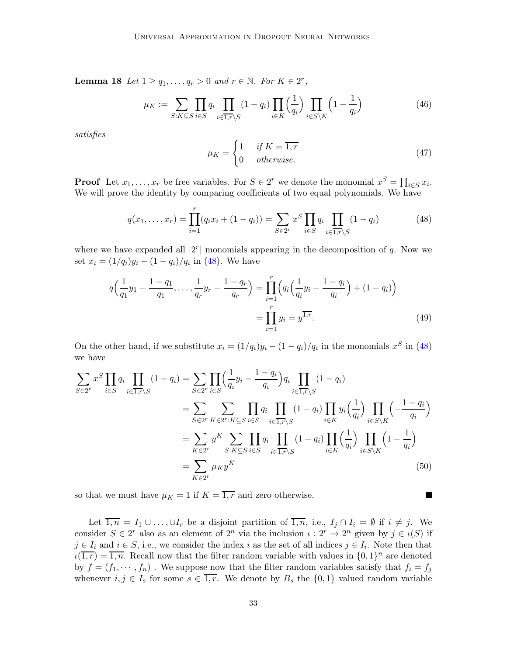**Lemma 18** Let  $1 \ge q_1, \ldots, q_r > 0$  and  $r \in \mathbb{N}$ . For  $K \in 2^r$ ,

$$
\mu_K := \sum_{S:K \subseteq S} \prod_{i \in S} q_i \prod_{i \in \overline{1,r} \setminus S} (1 - q_i) \prod_{i \in K} \left(\frac{1}{q_i}\right) \prod_{i \in S \setminus K} \left(1 - \frac{1}{q_i}\right) \tag{46}
$$

satisfies

<span id="page-32-0"></span>
$$
\mu_K = \begin{cases} 1 & \text{if } K = \overline{1, r} \\ 0 & \text{otherwise.} \end{cases}
$$
 (47)

 $\blacksquare$ 

**Proof** Let  $x_1, \ldots, x_r$  be free variables. For  $S \in 2^r$  we denote the monomial  $x^S = \prod_{i \in S} x_i$ . We will prove the identity by comparing coefficients of two equal polynomials. We have

$$
q(x_1, ..., x_r) = \prod_{i=1}^r (q_i x_i + (1 - q_i)) = \sum_{S \in 2^r} x^S \prod_{i \in S} q_i \prod_{i \in \overline{1,r} \setminus S} (1 - q_i)
$$
(48)

where we have expanded all  $|2^r|$  monomials appearing in the decomposition of q. Now we set  $x_i = (1/q_i)y_i - (1-q_i)/q_i$  in [\(48\)](#page-32-0). We have

$$
q\left(\frac{1}{q_1}y_1 - \frac{1-q_1}{q_1}, \dots, \frac{1}{q_r}y_r - \frac{1-q_r}{q_r}\right) = \prod_{i=1}^r \left(q_i\left(\frac{1}{q_i}y_i - \frac{1-q_i}{q_i}\right) + (1-q_i)\right)
$$

$$
= \prod_{i=1}^r y_i = y^{1,r}.
$$
(49)

On the other hand, if we substitute  $x_i = (1/q_i)y_i - (1-q_i)/q_i$  in the monomials  $x^S$  in [\(48\)](#page-32-0) we have

$$
\sum_{S \in 2^r} x^S \prod_{i \in S} q_i \prod_{i \in \overline{1,r} \setminus S} (1 - q_i) = \sum_{S \in 2^r} \prod_{i \in S} \left( \frac{1}{q_i} y_i - \frac{1 - q_i}{q_i} \right) q_i \prod_{i \in \overline{1,r} \setminus S} (1 - q_i)
$$
\n
$$
= \sum_{S \in 2^r} \sum_{K \in 2^r : K \subseteq S} \prod_{i \in S} q_i \prod_{i \in \overline{1,r} \setminus S} (1 - q_i) \prod_{i \in K} y_i \left( \frac{1}{q_i} \right) \prod_{i \in S \setminus K} \left( -\frac{1 - q_i}{q_i} \right)
$$
\n
$$
= \sum_{K \in 2^r} y^K \sum_{S : K \subseteq S} \prod_{i \in S} q_i \prod_{i \in \overline{1,r} \setminus S} (1 - q_i) \prod_{i \in K} \left( \frac{1}{q_i} \right) \prod_{i \in S \setminus K} \left( 1 - \frac{1}{q_i} \right)
$$
\n
$$
= \sum_{K \in 2^r} \mu_K y^K \tag{50}
$$

so that we must have  $\mu_K = 1$  if  $K = \overline{1, r}$  and zero otherwise.

Let  $\overline{1,n} = I_1 \cup \ldots \cup I_r$  be a disjoint partition of  $\overline{1,n}$ , i.e.,  $I_j \cap I_i = \emptyset$  if  $i \neq j$ . We consider  $S \in 2^r$  also as an element of  $2^n$  via the inclusion  $\iota : 2^r \to 2^n$  given by  $j \in \iota(S)$  if  $j \in I_i$  and  $i \in S$ , i.e., we consider the index i as the set of all indices  $j \in I_i$ . Note then that  $u(\overline{1,r}) = \overline{1,n}$ . Recall now that the filter random variable with values in  $\{0,1\}^n$  are denoted by  $f = (f_1, \dots, f_n)$ . We suppose now that the filter random variables satisfy that  $f_i = f_j$ whenever  $i, j \in I_s$  for some  $s \in \overline{1,r}$ . We denote by  $B_s$  the  $\{0,1\}$  valued random variable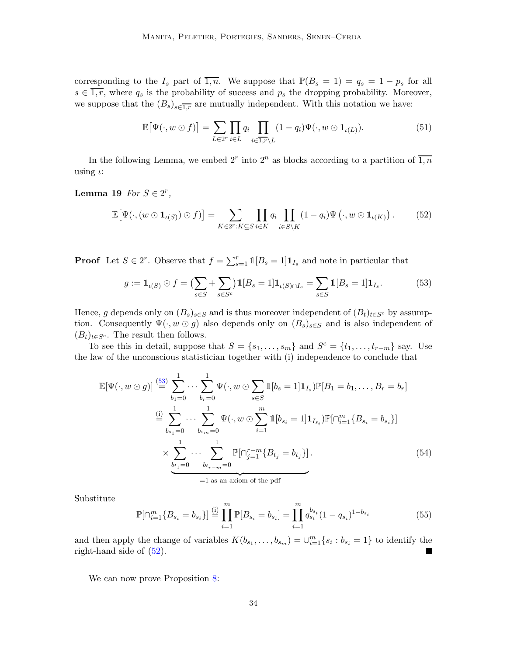corresponding to the  $I_s$  part of  $\overline{1,n}$ . We suppose that  $\mathbb{P}(B_s = 1) = q_s = 1 - p_s$  for all  $s \in \overline{1,r}$ , where  $q_s$  is the probability of success and  $p_s$  the dropping probability. Moreover, we suppose that the  $(B_s)_{s \in \overline{1,r}}$  are mutually independent. With this notation we have:

<span id="page-33-1"></span>
$$
\mathbb{E}\big[\Psi(\cdot, w \odot f)\big] = \sum_{L \in 2^r} \prod_{i \in L} q_i \prod_{i \in \overline{1,r} \setminus L} (1 - q_i) \Psi(\cdot, w \odot \mathbf{1}_{\iota(L)}). \tag{51}
$$

In the following Lemma, we embed  $2^r$  into  $2^n$  as blocks according to a partition of  $\overline{1,n}$ using  $\iota$ :

# Lemma 19  $For S \in 2^r$ ,

$$
\mathbb{E}\big[\Psi(\cdot,(w\odot\mathbf{1}_{\iota(S)})\odot f)\big] = \sum_{K\in2^r: K\subseteq S} \prod_{i\in K} q_i \prod_{i\in S\setminus K} (1-q_i)\Psi(\cdot,w\odot\mathbf{1}_{\iota(K)})\,. \tag{52}
$$

**Proof** Let  $S \in 2^r$ . Observe that  $f = \sum_{s=1}^r 1 [B_s = 1] \mathbf{1}_{I_s}$  and note in particular that

<span id="page-33-0"></span>
$$
g := \mathbf{1}_{\iota(S)} \odot f = \left( \sum_{s \in S} + \sum_{s \in S^c} \right) \mathbb{1}[B_s = 1] \mathbf{1}_{\iota(S) \cap I_s} = \sum_{s \in S} \mathbb{1}[B_s = 1] \mathbf{1}_{I_s}.
$$
 (53)

Hence, g depends only on  $(B_s)_{s\in S}$  and is thus moreover independent of  $(B_t)_{t\in S^c}$  by assumption. Consequently  $\Psi(\cdot, w \odot g)$  also depends only on  $(B_s)_{s \in S}$  and is also independent of  $(B_t)_{t\in S^c}$ . The result then follows.

To see this in detail, suppose that  $S = \{s_1, \ldots, s_m\}$  and  $S^c = \{t_1, \ldots, t_{r-m}\}$  say. Use the law of the unconscious statistician together with (i) independence to conclude that

$$
\mathbb{E}[\Psi(\cdot, w \odot g)] \stackrel{(53)}{=} \sum_{b_1=0}^{1} \cdots \sum_{b_r=0}^{1} \Psi(\cdot, w \odot \sum_{s \in S} 1 [b_s = 1] \mathbf{1}_{I_s}) \mathbb{P}[B_1 = b_1, \dots, B_r = b_r]
$$
  

$$
\stackrel{(i)}{=} \sum_{b_{s_1}=0}^{1} \cdots \sum_{b_{s_m}=0}^{1} \Psi(\cdot, w \odot \sum_{i=1}^{m} 1 [b_{s_i} = 1] \mathbf{1}_{I_{s_i}}) \mathbb{P}[\cap_{i=1}^{m} \{B_{s_i} = b_{s_i}\}]
$$
  

$$
\times \sum_{\underbrace{b_{t_1}=0}^{1} \cdots \sum_{b_{t_r=m}=0}^{1} \mathbb{P}[\cap_{j=1}^{r-m} \{B_{t_j} = b_{t_j}\}].
$$
  

$$
= 1
$$
as an axiom of the pdf

Substitute

$$
\mathbb{P}[\cap_{i=1}^m \{B_{s_i} = b_{s_i}\}] \stackrel{\text{(i)}}{=} \prod_{i=1}^m \mathbb{P}[B_{s_i} = b_{s_i}] = \prod_{i=1}^m q_{s_i}^{b_{s_i}} (1 - q_{s_i})^{1 - b_{s_i}} \tag{55}
$$

and then apply the change of variables  $K(b_{s_1},...,b_{s_m}) = \bigcup_{i=1}^m \{s_i : b_{s_i} = 1\}$  to identify the right-hand side of [\(52\)](#page-33-1).

We can now prove Proposition [8:](#page-16-2)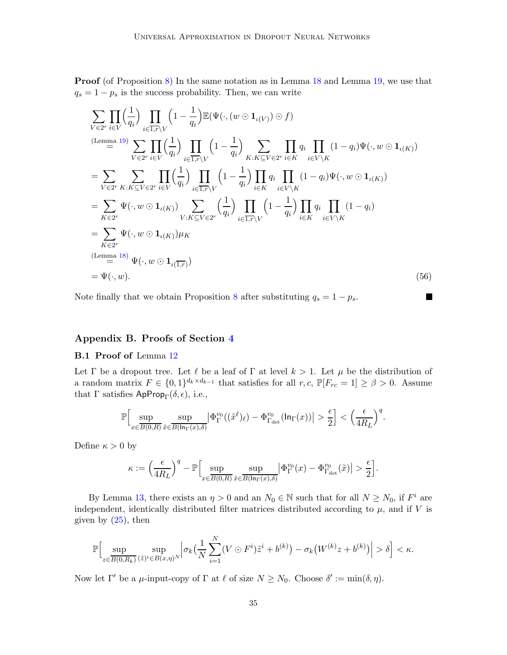**Proof** (of Proposition [8\)](#page-16-2) In the same notation as in Lemma [18](#page-31-1) and Lemma [19,](#page-33-1) we use that  $q_s = 1 - p_s$  is the success probability. Then, we can write

$$
\sum_{V \in 2^{r}} \prod_{i \in V} \left( \frac{1}{q_{i}} \right) \prod_{i \in \overline{1,r} \setminus V} \left( 1 - \frac{1}{q_{i}} \right) \mathbb{E}(\Psi(\cdot, (w \odot \mathbf{1}_{\iota(V)}) \odot f)
$$
\n
$$
\sum_{V \in 2^{r}} \prod_{i \in V} \left( \frac{1}{q_{i}} \right) \prod_{i \in \overline{1,r} \setminus V} \left( 1 - \frac{1}{q_{i}} \right) \sum_{K: K \subseteq V \in 2^{r}} \prod_{i \in K} q_{i} \prod_{i \in V \setminus K} (1 - q_{i}) \Psi(\cdot, w \odot \mathbf{1}_{\iota(K)})
$$
\n
$$
= \sum_{V \in 2^{r}} \sum_{K: K \subseteq V \in 2^{r}} \prod_{i \in V} \left( \frac{1}{q_{i}} \right) \prod_{i \in \overline{1,r} \setminus V} \left( 1 - \frac{1}{q_{i}} \right) \prod_{i \in K} q_{i} \prod_{i \in V \setminus K} (1 - q_{i}) \Psi(\cdot, w \odot \mathbf{1}_{\iota(K)})
$$
\n
$$
= \sum_{K \in 2^{r}} \Psi(\cdot, w \odot \mathbf{1}_{\iota(K)}) \sum_{V: K \subseteq V \in 2^{r}} \left( \frac{1}{q_{i}} \right) \prod_{i \in \overline{1,r} \setminus V} \left( 1 - \frac{1}{q_{i}} \right) \prod_{i \in K} q_{i} \prod_{i \in V \setminus K} (1 - q_{i})
$$
\n
$$
= \sum_{K \in 2^{r}} \Psi(\cdot, w \odot \mathbf{1}_{\iota(K)}) \mu_{K}
$$
\n(Lemma 18)  
\n
$$
\Psi(\cdot, w \odot \mathbf{1}_{\iota(\overline{1,r})})
$$
\n
$$
= \Psi(\cdot, w).
$$
\n(56)

 $\blacksquare$ 

Note finally that we obtain Proposition [8](#page-16-2) after substituting  $q_s = 1 - p_s$ .

# <span id="page-34-0"></span>Appendix B. Proofs of Section [4](#page-17-0)

## B.1 Proof of Lemma [12](#page-21-1)

Let Γ be a dropout tree. Let  $\ell$  be a leaf of Γ at level  $k > 1$ . Let  $\mu$  be the distribution of a random matrix  $F \in \{0,1\}^{d_k \times d_{k-1}}$  that satisfies for all  $r, c$ ,  $\mathbb{P}[F_{rc} = 1] \geq \beta > 0$ . Assume that  $\Gamma$  satisfies ApProp<sub>Γ</sub>( $\delta$ ,  $\epsilon$ ), i.e.,

$$
\mathbb{P}\Big[\sup_{x\in \overline{B(0,R)}}\sup_{\tilde x\in \overline{B(\ln_\Gamma(x),\delta)}}\Big|\Phi^{v_0}_\Gamma((\tilde x^\ell)_\ell)-\Phi^{v_0}_{\Gamma_{\rm det}}(\ln_\Gamma(x))\Big|>\frac{\epsilon}{2}\Big]< \Big(\frac{\epsilon}{4R_L}\Big)^q.
$$

Define  $\kappa > 0$  by

$$
\kappa:=\Big(\frac{\epsilon}{4R_L}\Big)^q-\mathbb{P}\Big[\sup_{x\in\overline{B(0,R)}}\sup_{\tilde{x}\in\overline{B(\ln_\Gamma(x),\delta)}}\bigl|\Phi^{v_0}_\Gamma(x)-\Phi^{v_0}_{\Gamma_{\rm det}}(\tilde{x})\bigr|>\frac{\epsilon}{2}\Big].
$$

By Lemma [13,](#page-21-0) there exists an  $\eta > 0$  and an  $N_0 \in \mathbb{N}$  such that for all  $N \ge N_0$ , if  $F^i$  are independent, identically distributed filter matrices distributed according to  $\mu$ , and if V is given by  $(25)$ , then

$$
\mathbb{P}\Big[\sup_{z\in\overline{B(0,R_k)}}\sup_{(\tilde{z})^i\in B(x,\eta)^N}\Big|\sigma_k\big(\frac{1}{N}\sum_{i=1}^N(V\odot F^i)\tilde{z}^i+b^{(k)}\big)-\sigma_k\big(W^{(k)}z+b^{(k)}\big)\Big|>\delta\Big]<\kappa.
$$

Now let  $\Gamma'$  be a  $\mu$ -input-copy of  $\Gamma$  at  $\ell$  of size  $N \ge N_0$ . Choose  $\delta' := \min(\delta, \eta)$ .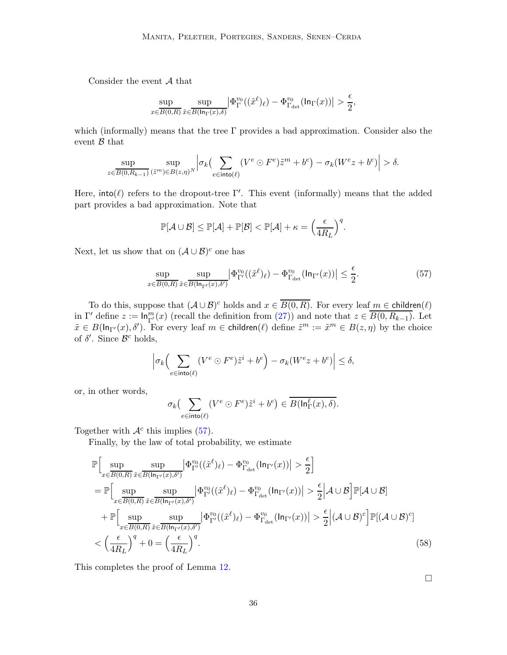Consider the event A that

$$
\sup_{x\in \overline{B(0,R)}}\sup_{\tilde x\in \overline{B(\ln_\Gamma(x),\delta)}}\left|\Phi^{v_0}_\Gamma((\tilde x^\ell)_\ell)-\Phi^{v_0}_{\Gamma_{\rm det}}(\ln_\Gamma(x))\right|>\frac{\epsilon}{2},
$$

which (informally) means that the tree  $\Gamma$  provides a bad approximation. Consider also the event  $\beta$  that

$$
\sup_{z\in \overline{B(0,R_{k-1})}}\sup_{(\tilde{z}^m)\in B(z,\eta)^N}\Bigl|\sigma_k\bigl(\sum_{e\in \text{into}(\ell)}(V^e\odot F^e)\tilde{z}^m+b^e\bigr)-\sigma_k(W^e z+b^e)\Bigr|>\delta.
$$

Here, into( $\ell$ ) refers to the dropout-tree Γ'. This event (informally) means that the added part provides a bad approximation. Note that

<span id="page-35-0"></span>
$$
\mathbb{P}[\mathcal{A} \cup \mathcal{B}] \leq \mathbb{P}[\mathcal{A}] + \mathbb{P}[\mathcal{B}] < \mathbb{P}[\mathcal{A}] + \kappa = \left(\frac{\epsilon}{4R_L}\right)^q.
$$

Next, let us show that on  $(\mathcal{A} \cup \mathcal{B})^c$  one has

$$
\sup_{x \in \overline{B(0,R)}} \sup_{\tilde{x} \in \overline{B(\ln_{\Gamma'}(x),\delta')}} \left| \Phi_{\Gamma'}^{v_0}((\tilde{x}^{\ell})_{\ell}) - \Phi_{\Gamma_{\text{det}}}^{v_0}(\ln_{\Gamma'}(x)) \right| \le \frac{\epsilon}{2}.
$$
\n(57)

To do this, suppose that  $(A \cup B)^c$  holds and  $x \in \overline{B(0,R)}$ . For every leaf  $m \in \text{children}(\ell)$ in  $\Gamma'$  define  $z := \ln_{\Gamma'}^m(x)$  (recall the definition from [\(27\)](#page-21-3)) and note that  $z \in \overline{B(0, R_{k-1})}$ . Let  $\tilde{x} \in B(\ln_{\Gamma'}(x), \delta')$ . For every leaf  $m \in \text{children}(\ell)$  define  $\tilde{z}^m := \tilde{x}^m \in B(z, \eta)$  by the choice of  $\delta'$ . Since  $\mathcal{B}^c$  holds,

$$
\left| \sigma_k \Big( \sum_{e \in \text{into}(\ell)} (V^e \odot F^e) \tilde{z}^i + b^e \Big) - \sigma_k (W^e z + b^e) \right| \le \delta,
$$

or, in other words,

$$
\sigma_k\bigl(\sum_{e\in \text{into}(\ell)}(V^e\odot F^e)\tilde{z}^i+b^e\bigr)\in \overline{B(\text{In}^{\ell}_\Gamma(x),\delta)}.
$$

Together with  $\mathcal{A}^c$  this implies [\(57\)](#page-35-0).

Finally, by the law of total probability, we estimate

$$
\mathbb{P}\Big[\sup_{x\in\overline{B(0,R)}}\sup_{\tilde{x}\in\overline{B(\ln_{\Gamma'}(x),\delta')}}\left|\Phi_{\Gamma'}^{v_0}((\tilde{x}^{\ell})_{\ell})-\Phi_{\Gamma_{\text{det}}}^{v_0}(\ln_{\Gamma'}(x))\right|>\frac{\epsilon}{2}\Big]
$$
\n
$$
=\mathbb{P}\Big[\sup_{x\in\overline{B(0,R)}}\sup_{\tilde{x}\in\overline{B(\ln_{\Gamma'}(x),\delta')}}\left|\Phi_{\Gamma'}^{v_0}((\tilde{x}^{\ell})_{\ell})-\Phi_{\Gamma_{\text{det}}}^{v_0}(\ln_{\Gamma'}(x))\right|>\frac{\epsilon}{2}\Big|\mathcal{A}\cup\mathcal{B}\Big]\mathbb{P}[\mathcal{A}\cup\mathcal{B}]
$$
\n
$$
+\mathbb{P}\Big[\sup_{x\in\overline{B(0,R)}}\sup_{\tilde{x}\in\overline{B(\ln_{\Gamma'}(x),\delta')}}\left|\Phi_{\Gamma'}^{v_0}((\tilde{x}^{\ell})_{\ell})-\Phi_{\Gamma_{\text{det}}}^{v_0}(\ln_{\Gamma'}(x))\right|>\frac{\epsilon}{2}\Big|(\mathcal{A}\cup\mathcal{B})^c\Big]\mathbb{P}[(\mathcal{A}\cup\mathcal{B})^c]
$$
\n
$$
<\left(\frac{\epsilon}{4R_L}\right)^q+0=\left(\frac{\epsilon}{4R_L}\right)^q.\tag{58}
$$

This completes the proof of Lemma [12.](#page-21-1)

 $\Box$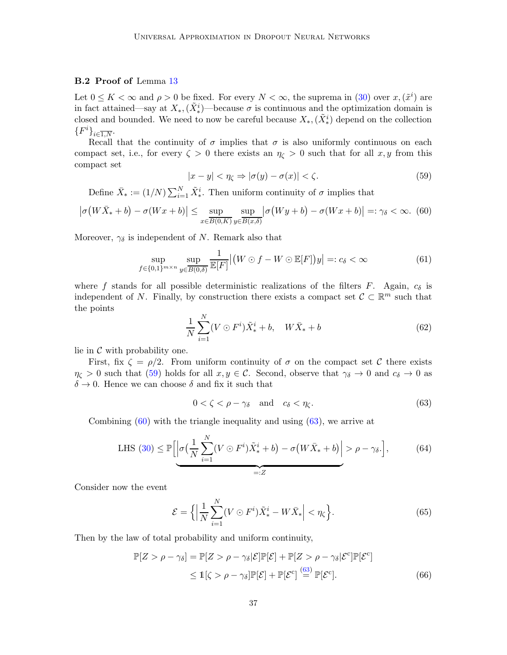## <span id="page-36-0"></span>B.2 Proof of Lemma [13](#page-21-0)

Let  $0 \leq K < \infty$  and  $\rho > 0$  be fixed. For every  $N < \infty$ , the suprema in [\(30\)](#page-21-4) over  $x, (\tilde{x}^i)$  are in fact attained—say at  $X_*,(\tilde{X}^i_*)$ —because  $\sigma$  is continuous and the optimization domain is closed and bounded. We need to now be careful because  $X_*,(\tilde{X}^i_*)$  depend on the collection  ${F^i\}_{i \in \overline{1, N}}$ .

Recall that the continuity of  $\sigma$  implies that  $\sigma$  is also uniformly continuous on each compact set, i.e., for every  $\zeta > 0$  there exists an  $\eta_{\zeta} > 0$  such that for all x, y from this compact set

<span id="page-36-4"></span><span id="page-36-2"></span>
$$
|x - y| < \eta_{\zeta} \Rightarrow |\sigma(y) - \sigma(x)| < \zeta. \tag{59}
$$

<span id="page-36-1"></span>Define  $\bar{X}_* := (1/N) \sum_{i=1}^N \tilde{X}_*^i$ . Then uniform continuity of  $\sigma$  implies that

$$
\left|\sigma\big(W\bar{X}_*+b\big)-\sigma(Wx+b)\right| \le \sup_{x \in \overline{B(0,K)}} \sup_{y \in \overline{B(x,\delta)}} \left|\sigma\big(Wy+b\big)-\sigma(Wx+b)\right| =: \gamma_{\delta} < \infty. \tag{60}
$$

Moreover,  $\gamma_{\delta}$  is independent of N. Remark also that

$$
\sup_{f \in \{0,1\}^{m \times n}} \sup_{y \in \overline{B(0,\delta)}} \frac{1}{\mathbb{E}[F]} \left| \left( W \odot f - W \odot \mathbb{E}[F] \right) y \right| =: c_{\delta} < \infty \tag{61}
$$

where f stands for all possible deterministic realizations of the filters F. Again,  $c_{\delta}$  is independent of N. Finally, by construction there exists a compact set  $\mathcal{C} \subset \mathbb{R}^m$  such that the points

$$
\frac{1}{N} \sum_{i=1}^{N} (V \odot F^i) \tilde{X}_*^i + b, \quad W \bar{X}_* + b \tag{62}
$$

lie in  $\mathcal C$  with probability one.

First, fix  $\zeta = \rho/2$ . From uniform continuity of  $\sigma$  on the compact set C there exists  $\eta_{\zeta} > 0$  such that [\(59\)](#page-36-1) holds for all  $x, y \in \mathcal{C}$ . Second, observe that  $\gamma_{\delta} \to 0$  and  $c_{\delta} \to 0$  as  $\delta \rightarrow 0$ . Hence we can choose  $\delta$  and fix it such that

<span id="page-36-3"></span>
$$
0 < \zeta < \rho - \gamma_{\delta} \quad \text{and} \quad c_{\delta} < \eta_{\zeta}.\tag{63}
$$

Combining [\(60\)](#page-36-2) with the triangle inequality and using [\(63\)](#page-36-3), we arrive at

LHS (30) 
$$
\leq \mathbb{P}\left[\left|\sigma\left(\frac{1}{N}\sum_{i=1}^{N}(V\odot F^{i})\tilde{X}_{*}^{i}+b\right)-\sigma\left(W\bar{X}_{*}+b\right)\right|>\rho-\gamma_{\delta}.\right],
$$
 (64)  
 $=:Z$ 

Consider now the event

<span id="page-36-5"></span>
$$
\mathcal{E} = \left\{ \left| \frac{1}{N} \sum_{i=1}^{N} (V \odot F^i) \tilde{X}_*^i - W \bar{X}_* \right| < \eta_{\zeta} \right\}.
$$
\n(65)

Then by the law of total probability and uniform continuity,

$$
\mathbb{P}[Z > \rho - \gamma_{\delta}] = \mathbb{P}[Z > \rho - \gamma_{\delta} | \mathcal{E}] \mathbb{P}[\mathcal{E}] + \mathbb{P}[Z > \rho - \gamma_{\delta} | \mathcal{E}^c] \mathbb{P}[\mathcal{E}^c]
$$
  

$$
\leq \mathbb{1}[\zeta > \rho - \gamma_{\delta}] \mathbb{P}[\mathcal{E}] + \mathbb{P}[\mathcal{E}^c] \stackrel{(63)}{=} \mathbb{P}[\mathcal{E}^c].
$$
 (66)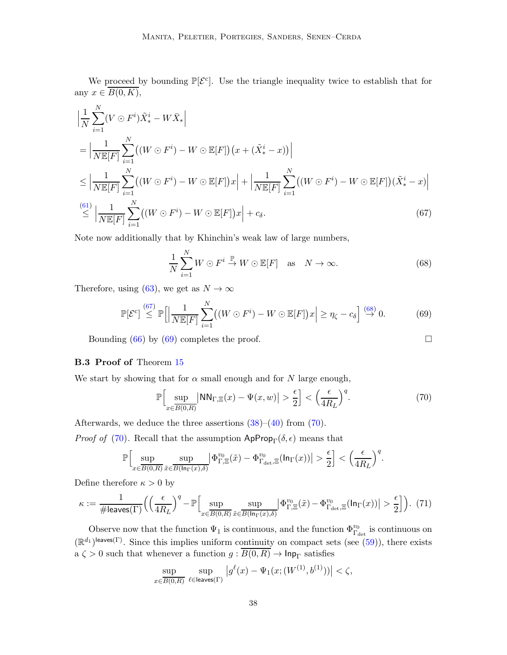We proceed by bounding  $\mathbb{P}[\mathcal{E}^c]$ . Use the triangle inequality twice to establish that for any  $x \in \overline{B(0,K)},$ 

$$
\left| \frac{1}{N} \sum_{i=1}^{N} (V \odot F^{i}) \tilde{X}_{*}^{i} - W \bar{X}_{*} \right|
$$
\n
$$
= \left| \frac{1}{N \mathbb{E}[F]} \sum_{i=1}^{N} \left( (W \odot F^{i}) - W \odot \mathbb{E}[F] \right) \left( x + (\tilde{X}_{*}^{i} - x) \right) \right|
$$
\n
$$
\leq \left| \frac{1}{N \mathbb{E}[F]} \sum_{i=1}^{N} \left( (W \odot F^{i}) - W \odot \mathbb{E}[F] \right) x \right| + \left| \frac{1}{N \mathbb{E}[F]} \sum_{i=1}^{N} \left( (W \odot F^{i}) - W \odot \mathbb{E}[F] \right) (\tilde{X}_{*}^{i} - x) \right|
$$
\n
$$
\stackrel{(61)}{\leq} \left| \frac{1}{N \mathbb{E}[F]} \sum_{i=1}^{N} \left( (W \odot F^{i}) - W \odot \mathbb{E}[F] \right) x \right| + c_{\delta}.
$$
\n
$$
(67)
$$

Note now additionally that by Khinchin's weak law of large numbers,

<span id="page-37-3"></span>
$$
\frac{1}{N} \sum_{i=1}^{N} W \odot F^i \stackrel{\mathbb{P}}{\to} W \odot \mathbb{E}[F] \quad \text{as} \quad N \to \infty. \tag{68}
$$

Therefore, using [\(63\)](#page-36-3), we get as  $N \to \infty$ 

$$
\mathbb{P}[\mathcal{E}^c] \stackrel{(67)}{\leq} \mathbb{P}\Big[\Big|\frac{1}{N\mathbb{E}[F]}\sum_{i=1}^N\big((W\odot F^i) - W\odot \mathbb{E}[F]\big)x\Big| \geq \eta_{\zeta} - c_{\delta}\Big] \stackrel{(68)}{\to} 0. \tag{69}
$$

Bounding  $(66)$  by  $(69)$  completes the proof.

## <span id="page-37-0"></span>B.3 Proof of Theorem [15](#page-24-0)

We start by showing that for  $\alpha$  small enough and for N large enough,

$$
\mathbb{P}\Big[\sup_{x\in\overline{B(0,R)}}\big|\text{NN}_{\Gamma,\Xi}(x)-\Psi(x,w)\big|>\frac{\epsilon}{2}\Big]<\left(\frac{\epsilon}{4R_L}\right)^q.\tag{70}
$$

Afterwards, we deduce the three assertions  $(38)$ – $(40)$  from  $(70)$ .

*Proof of* [\(70\)](#page-37-4). Recall that the assumption  $\mathsf{AppProp}_{\Gamma}(\delta, \epsilon)$  means that

<span id="page-37-5"></span>
$$
\mathbb{P}\Big[\sup_{x\in \overline{B(0,R)}}\sup_{\tilde x\in \overline{B(\ln_\Gamma(x),\delta)}}\Big|\Phi_{\Gamma,\Xi}^{v_0}(\tilde x)-\Phi_{\Gamma_{\rm det},\Xi}^{v_0}(\ln_\Gamma(x))\Big|>\frac{\epsilon}{2}\Big]< \Big(\frac{\epsilon}{4R_L}\Big)^q.
$$

Define therefore  $\kappa > 0$  by

$$
\kappa := \frac{1}{\# \text{leaves}(\Gamma)} \Big( \Big( \frac{\epsilon}{4R_L} \Big)^q - \mathbb{P} \Big[ \sup_{x \in \overline{B(0,R)}} \sup_{\tilde{x} \in \overline{B(\ln_\Gamma(x), \delta)}} \Big| \Phi_{\Gamma, \Xi}^{v_0}(\tilde{x}) - \Phi_{\Gamma_{\text{det}}, \Xi}^{v_0}(\ln_\Gamma(x)) \Big| > \frac{\epsilon}{2} \Big] \Big). \tag{71}
$$

Observe now that the function  $\Psi_1$  is continuous, and the function  $\Phi_{\Gamma_{\rm det}}^{v_0}$  is continuous on  $(\mathbb{R}^{d_1})^{\text{leaves}(\Gamma)}$ . Since this implies uniform continuity on compact sets (see [\(59\)](#page-36-1)), there exists a  $\zeta > 0$  such that whenever a function  $g : \overline{B(0,R)} \to \text{Inp}_{\Gamma}$  satisfies

$$
\sup_{x \in \overline{B(0,R)}} \sup_{\ell \in \text{leaves}(\Gamma)} \left| g^{\ell}(x) - \Psi_1(x; (W^{(1)}, b^{(1)})) \right| < \zeta,
$$

<span id="page-37-4"></span><span id="page-37-2"></span><span id="page-37-1"></span>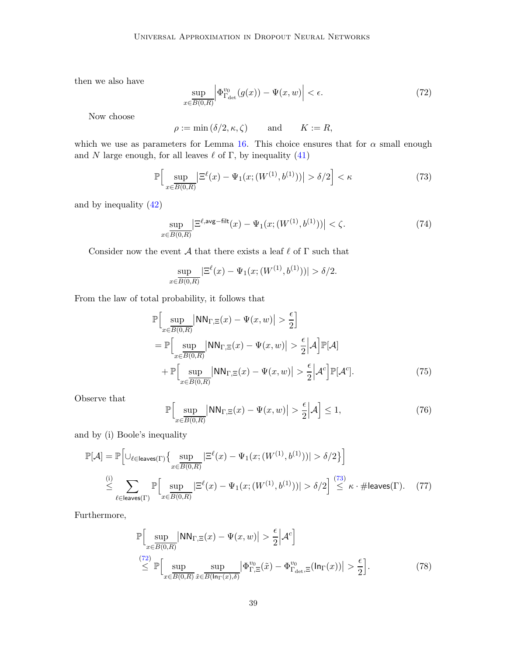then we also have

<span id="page-38-1"></span>
$$
\sup_{x \in \overline{B(0,R)}} \left| \Phi_{\Gamma_{\text{det}}}^{v_0}(g(x)) - \Psi(x,w) \right| < \epsilon. \tag{72}
$$

Now choose

<span id="page-38-0"></span> $\rho := \min(\delta/2, \kappa, \zeta)$  and  $K := R$ ,

which we use as parameters for Lemma [16.](#page-25-1) This choice ensures that for  $\alpha$  small enough and N large enough, for all leaves  $\ell$  of  $\Gamma$ , by inequality [\(41\)](#page-25-4)

$$
\mathbb{P}\Big[\sup_{x \in \overline{B(0,R)}} \left| \Xi^{\ell}(x) - \Psi_1(x; (W^{(1)}, b^{(1)})) \right| > \delta/2 \Big] < \kappa \tag{73}
$$

and by inequality [\(42\)](#page-25-5)

<span id="page-38-5"></span>
$$
\sup_{x \in \overline{B(0,R)}} \left| \Xi^{\ell, \text{avg-filt}}(x) - \Psi_1(x; (W^{(1)}, b^{(1)})) \right| < \zeta. \tag{74}
$$

Consider now the event  $\mathcal A$  that there exists a leaf  $\ell$  of  $\Gamma$  such that

$$
\sup_{x \in \overline{B(0,R)}} |\Xi^{\ell}(x) - \Psi_1(x; (W^{(1)}, b^{(1)}))| > \delta/2.
$$

From the law of total probability, it follows that

$$
\mathbb{P}\Big[\sup_{x\in\overline{B(0,R)}}\big|\text{NN}_{\Gamma,\Xi}(x)-\Psi(x,w)\big|>\frac{\epsilon}{2}\Big]
$$
\n
$$
=\mathbb{P}\Big[\sup_{x\in\overline{B(0,R)}}\big|\text{NN}_{\Gamma,\Xi}(x)-\Psi(x,w)\big|>\frac{\epsilon}{2}\big|\mathcal{A}\Big]\mathbb{P}[\mathcal{A}]
$$
\n
$$
+\mathbb{P}\Big[\sup_{x\in\overline{B(0,R)}}\big|\text{NN}_{\Gamma,\Xi}(x)-\Psi(x,w)\big|>\frac{\epsilon}{2}\big|\mathcal{A}^c\Big]\mathbb{P}[\mathcal{A}^c].
$$
\n(75)

Observe that

<span id="page-38-3"></span><span id="page-38-2"></span>
$$
\mathbb{P}\Big[\sup_{x\in\overline{B(0,R)}}\big|\text{NN}_{\Gamma,\Xi}(x)-\Psi(x,w)\big|>\frac{\epsilon}{2}\Big|\mathcal{A}\Big]\leq 1,\tag{76}
$$

and by (i) Boole's inequality

$$
\mathbb{P}[\mathcal{A}] = \mathbb{P}\Big[\cup_{\ell \in \mathsf{leaves}(\Gamma)} \left\{ \sup_{x \in \overline{B(0,R)}} |\Xi^{\ell}(x) - \Psi_1(x; (W^{(1)}, b^{(1)}))| > \delta/2 \right\} \Big]
$$
  

$$
\stackrel{\text{(i)}}{\leq} \sum_{\ell \in \mathsf{leaves}(\Gamma)} \mathbb{P}\Big[\sup_{x \in \overline{B(0,R)}} |\Xi^{\ell}(x) - \Psi_1(x; (W^{(1)}, b^{(1)}))| > \delta/2 \Big] \stackrel{(73)}{\leq} \kappa \cdot \# \mathsf{leaves}(\Gamma). \tag{77}
$$

Furthermore,

<span id="page-38-4"></span>
$$
\mathbb{P}\Big[\sup_{x\in\overline{B(0,R)}}|NN_{\Gamma,\Xi}(x)-\Psi(x,w)|>\frac{\epsilon}{2}\Big|\mathcal{A}^c\Big]
$$
\n
$$
\leq \mathbb{P}\Big[\sup_{x\in\overline{B(0,R)}}\sup_{\tilde{x}\in\overline{B(\ln_{\Gamma}(x),\delta)}}\Big|\Phi_{\Gamma,\Xi}^{v_0}(\tilde{x})-\Phi_{\Gamma_{\det},\Xi}^{v_0}(\ln_{\Gamma}(x))\Big|>\frac{\epsilon}{2}\Big].
$$
\n(78)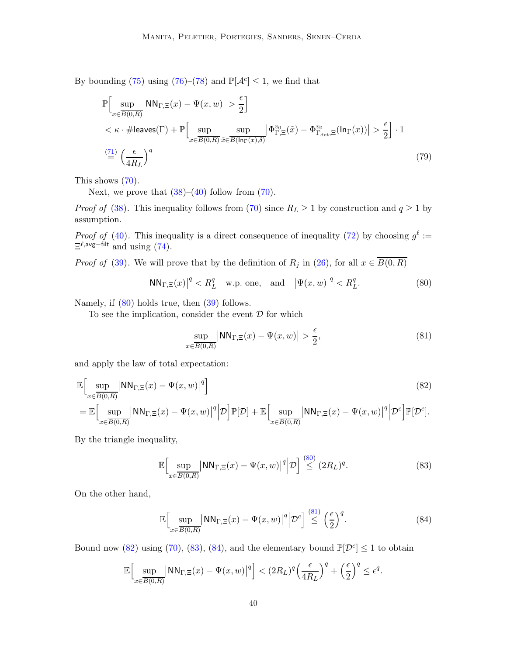By bounding [\(75\)](#page-38-2) using [\(76\)](#page-38-3)–[\(78\)](#page-38-4) and  $\mathbb{P}[\mathcal{A}^c] \leq 1$ , we find that

$$
\mathbb{P}\Big[\sup_{x\in\overline{B(0,R)}}|NN_{\Gamma,\Xi}(x) - \Psi(x,w)| > \frac{\epsilon}{2}\Big] \n<\kappa \cdot \#\text{leaves}(\Gamma) + \mathbb{P}\Big[\sup_{x\in\overline{B(0,R)}}\sup_{\tilde{x}\in\overline{B(\ln_{\Gamma}(x),\delta)}}|\Phi_{\Gamma,\Xi}^{v_0}(\tilde{x}) - \Phi_{\Gamma_{\text{det}},\Xi}^{v_0}(\ln_{\Gamma}(x))| > \frac{\epsilon}{2}\Big] \cdot 1
$$
\n(79)

This shows  $(70)$ .

Next, we prove that  $(38)-(40)$  $(38)-(40)$  follow from  $(70)$ .

*Proof of* [\(38\)](#page-25-2). This inequality follows from [\(70\)](#page-37-4) since  $R_L \ge 1$  by construction and  $q \ge 1$  by assumption.

*Proof of* [\(40\)](#page-25-3). This inequality is a direct consequence of inequality [\(72\)](#page-38-1) by choosing  $g^{\ell}$  :=  $\Xi^{\ell, \text{avg-filt}}$  and using [\(74\)](#page-38-5).

*Proof of* [\(39\)](#page-25-6). We will prove that by the definition of  $R_j$  in [\(26\)](#page-20-0), for all  $x \in \overline{B(0,R)}$ 

$$
\left|\text{NN}_{\Gamma,\Xi}(x)\right|^q < R_L^q \quad \text{w.p. one, and} \quad \left|\Psi(x,w)\right|^q < R_L^q. \tag{80}
$$

Namely, if [\(80\)](#page-39-0) holds true, then [\(39\)](#page-25-6) follows.

To see the implication, consider the event  $D$  for which

<span id="page-39-2"></span><span id="page-39-1"></span><span id="page-39-0"></span>
$$
\sup_{x \in \overline{B(0,R)}} |NN_{\Gamma,\Xi}(x) - \Psi(x,w)| > \frac{\epsilon}{2},\tag{81}
$$

and apply the law of total expectation:

$$
\mathbb{E}\Big[\underset{x\in\overline{B(0,R)}}{\sup}|\text{NN}_{\Gamma,\Xi}(x)-\Psi(x,w)|^{q}\Big]
$$
\n
$$
=\mathbb{E}\Big[\underset{x\in\overline{B(0,R)}}{\sup}|\text{NN}_{\Gamma,\Xi}(x)-\Psi(x,w)|^{q}\Big|\mathcal{D}\Big]\mathbb{P}[\mathcal{D}]+\mathbb{E}\Big[\underset{x\in\overline{B(0,R)}}{\sup}|\text{NN}_{\Gamma,\Xi}(x)-\Psi(x,w)|^{q}\Big|\mathcal{D}^{c}\Big]\mathbb{P}[\mathcal{D}^{c}].
$$
\n(82)

By the triangle inequality,

<span id="page-39-3"></span>
$$
\mathbb{E}\Big[\sup_{x\in\overline{B(0,R)}}\big|\text{NN}_{\Gamma,\Xi}(x)-\Psi(x,w)\big|^q\Big|\mathcal{D}\Big] \stackrel{(80)}{\leq} (2R_L)^q. \tag{83}
$$

On the other hand,

<span id="page-39-4"></span>
$$
\mathbb{E}\Big[\sup_{x\in\overline{B(0,R)}}\big|\text{NN}_{\Gamma,\Xi}(x)-\Psi(x,w)\big|^q\Big|\mathcal{D}^c\Big] \stackrel{(81)}{\leq} \left(\frac{\epsilon}{2}\right)^q.\tag{84}
$$

Bound now [\(82\)](#page-39-2) using [\(70\)](#page-37-4), [\(83\)](#page-39-3), [\(84\)](#page-39-4), and the elementary bound  $\mathbb{P}[\mathcal{D}^c] \leq 1$  to obtain

$$
\mathbb{E}\Big[\sup_{x\in \overline{B(0,R)}}\bigl|\text{NN}_{\Gamma,\Xi}(x)-\Psi(x,w)\bigr|^q\Big]<(2R_L)^q\Big(\frac{\epsilon}{4R_L}\Big)^q+\Big(\frac{\epsilon}{2}\Big)^q\leq \epsilon^q.
$$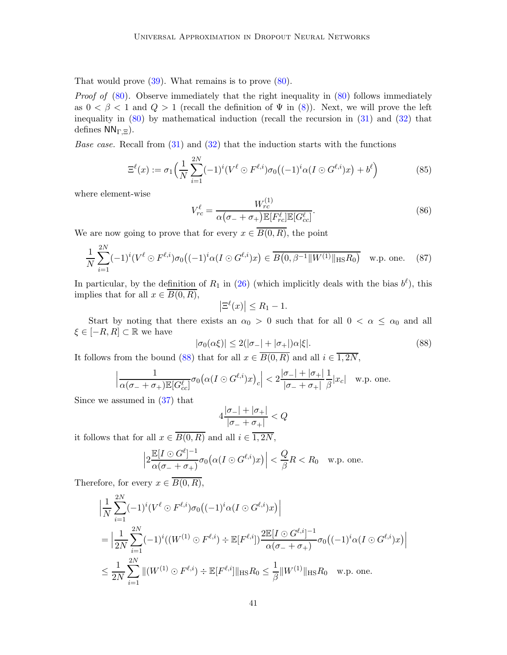That would prove [\(39\)](#page-25-6). What remains is to prove [\(80\)](#page-39-0).

*Proof of*  $(80)$ . Observe immediately that the right inequality in  $(80)$  follows immediately as  $0 < \beta < 1$  and  $Q > 1$  (recall the definition of  $\Psi$  in [\(8\)](#page-8-1)). Next, we will prove the left inequality in [\(80\)](#page-39-0) by mathematical induction (recall the recursion in [\(31\)](#page-22-1) and [\(32\)](#page-22-0) that defines  $NN_{\Gamma,\Xi}$ ).

*Base case.* Recall from  $(31)$  and  $(32)$  that the induction starts with the functions

$$
\Xi^{\ell}(x) := \sigma_1\Big(\frac{1}{N}\sum_{i=1}^{2N}(-1)^i(V^{\ell}\odot F^{\ell,i})\sigma_0\big((-1)^i\alpha(I\odot G^{\ell,i})x\big) + b^{\ell}\Big) \tag{85}
$$

where element-wise

$$
V_{rc}^{\ell} = \frac{W_{rc}^{(1)}}{\alpha(\sigma_- + \sigma_+) \mathbb{E}[F_{rc}^{\ell}] \mathbb{E}[G_{cc}^{\ell}]}.
$$
\n(86)

We are now going to prove that for every  $x \in \overline{B(0,R)}$ , the point

$$
\frac{1}{N} \sum_{i=1}^{2N} (-1)^i (V^{\ell} \odot F^{\ell,i}) \sigma_0 \big( (-1)^i \alpha (I \odot G^{\ell,i}) x \big) \in \overline{B(0, \beta^{-1} || W^{(1)} ||_{\text{HS}} R_0)} \quad \text{w.p. one.} \tag{87}
$$

In particular, by the definition of  $R_1$  in [\(26\)](#page-20-0) (which implicitly deals with the bias  $b^{\ell}$ ), this implies that for all  $x \in B(0, R)$ ,

<span id="page-40-1"></span>
$$
\left|\Xi^{\ell}(x)\right| \leq R_1 - 1.
$$

Start by noting that there exists an  $\alpha_0 > 0$  such that for all  $0 < \alpha \leq \alpha_0$  and all  $\xi \in [-R, R] \subset \mathbb{R}$  we have

<span id="page-40-0"></span>
$$
|\sigma_0(\alpha\xi)| \le 2(|\sigma_-| + |\sigma_+|)\alpha|\xi|.
$$
\n(88)

It follows from the bound [\(88\)](#page-40-0) that for all  $x \in B(0, R)$  and all  $i \in 1, 2N$ ,

$$
\left|\frac{1}{\alpha(\sigma_- + \sigma_+) \mathbb{E}[G_{cc}^{\ell}]} \sigma_0(\alpha(I \odot G^{\ell,i})x)_c\right| < 2\frac{|\sigma_-| + |\sigma_+|}{|\sigma_- + \sigma_+|} \frac{1}{\beta}|x_c| \quad \text{w.p. one.}
$$

Since we assumed in [\(37\)](#page-24-2) that

$$
4\frac{|\sigma_-| + |\sigma_+|}{|\sigma_- + \sigma_+|} < Q
$$

it follows that for all  $x \in \overline{B(0,R)}$  and all  $i \in \overline{1,2N}$ ,

$$
\Big|2\frac{\mathbb{E}[I\odot G^{\ell}]^{-1}}{\alpha(\sigma_- + \sigma_+)}\sigma_0\big(\alpha(I\odot G^{\ell,i})x\big)\Big| < \frac{Q}{\beta}R < R_0 \quad \text{w.p. one.}
$$

Therefore, for every  $x \in B(0, R)$ ,

$$
\left| \frac{1}{N} \sum_{i=1}^{2N} (-1)^i (V^{\ell} \odot F^{\ell,i}) \sigma_0 \big( (-1)^i \alpha (I \odot G^{\ell,i}) x \big) \right|
$$
  
= 
$$
\left| \frac{1}{2N} \sum_{i=1}^{2N} (-1)^i ((W^{(1)} \odot F^{\ell,i}) \div \mathbb{E}[F^{\ell,i}]) \frac{2 \mathbb{E}[I \odot G^{\ell,i}]^{-1}}{\alpha (\sigma_- + \sigma_+)} \sigma_0 \big( (-1)^i \alpha (I \odot G^{\ell,i}) x \big) \right|
$$
  

$$
\leq \frac{1}{2N} \sum_{i=1}^{2N} ||(W^{(1)} \odot F^{\ell,i}) \div \mathbb{E}[F^{\ell,i}]||_{\text{HS}} R_0 \leq \frac{1}{\beta} ||W^{(1)}||_{\text{HS}} R_0 \text{ w.p. one.}
$$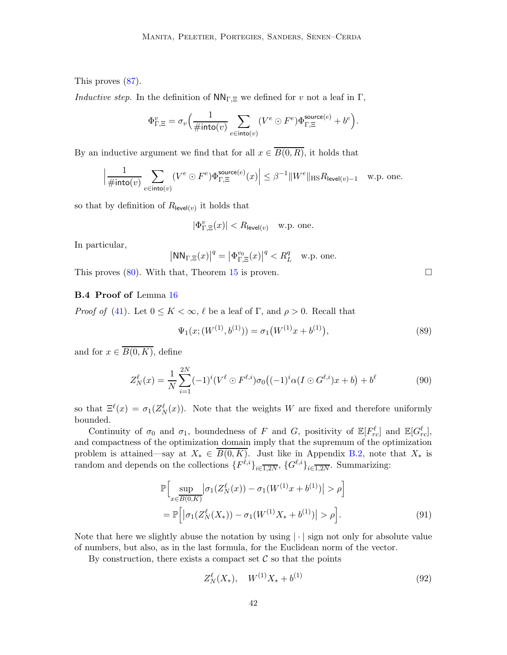This proves [\(87\)](#page-40-1).

*Inductive step.* In the definition of  $NN_{\Gamma,\Xi}$  we defined for v not a leaf in  $\Gamma$ ,

$$
\Phi_{\Gamma,\Xi}^v = \sigma_v \Big( \frac{1}{\# \textnormal{into}(v)} \sum_{e \in \textnormal{into}(v)} (V^e \odot F^e) \Phi_{\Gamma,\Xi}^{\textnormal{source}(e)} + b^e \Big).
$$

By an inductive argument we find that for all  $x \in \overline{B(0,R)}$ , it holds that

$$
\Big|\frac{1}{\#\text{into}(v)}\sum_{e\in\text{into}(v)}(V^e\odot F^e)\Phi^{\text{source}(e)}_{\Gamma,\Xi}(x)\Big|\leq \beta^{-1}\|W^e\|_{\text{HS}}R_{\text{level}(v)-1}\quad \text{w.p. one.}
$$

so that by definition of  $R_{\text{level}(v)}$  it holds that

$$
|\Phi_{\Gamma,\Xi}^v(x)| < R_{\text{level}(v)} \quad \text{w.p. one.}
$$

In particular,

$$
|\text{NN}_{\Gamma,\Xi}(x)|^q = |\Phi_{\Gamma,\Xi}^{v_0}(x)|^q < R_L^q \quad \text{w.p. one.}
$$

<span id="page-41-0"></span>This proves  $(80)$ . With that, Theorem [15](#page-24-0) is proven.

## B.4 Proof of Lemma [16](#page-25-1)

*Proof of* [\(41\)](#page-25-4). Let  $0 \leq K < \infty$ ,  $\ell$  be a leaf of  $\Gamma$ , and  $\rho > 0$ . Recall that

$$
\Psi_1(x; (W^{(1)}, b^{(1)})) = \sigma_1(W^{(1)}x + b^{(1)}), \tag{89}
$$

and for  $x \in \overline{B(0,K)}$ , define

$$
Z_N^{\ell}(x) = \frac{1}{N} \sum_{i=1}^{2N} (-1)^i (V^{\ell} \odot F^{\ell,i}) \sigma_0 \big( (-1)^i \alpha (I \odot G^{\ell,i}) x + b \big) + b^{\ell} \tag{90}
$$

so that  $\Xi^{\ell}(x) = \sigma_1(Z_N^{\ell}(x))$ . Note that the weights W are fixed and therefore uniformly bounded.

Continuity of  $\sigma_0$  and  $\sigma_1$ , boundedness of F and G, positivity of  $\mathbb{E}[F_{rc}^{\ell}]$  and  $\mathbb{E}[G_{rc}^{\ell}]$ , and compactness of the optimization domain imply that the supremum of the optimization problem is attained—say at  $X_* \in \overline{B(0,K)}$ . Just like in Appendix [B.2,](#page-36-0) note that  $X_*$  is random and depends on the collections  ${F^{\ell,i}}_{i\in\overline{1,2N}}, {G^{\ell,i}}_{i\in\overline{1,2N}}$ . Summarizing:

$$
\mathbb{P}\Big[\sup_{x \in \overline{B(0,K)}} \left| \sigma_1(Z_N^{\ell}(x)) - \sigma_1(W^{(1)}x + b^{(1)}) \right| > \rho \Big] \n= \mathbb{P}\Big[\left| \sigma_1(Z_N^{\ell}(X_*)) - \sigma_1(W^{(1)}X_* + b^{(1)}) \right| > \rho \Big].
$$
\n(91)

Note that here we slightly abuse the notation by using  $|\cdot|$  sign not only for absolute value of numbers, but also, as in the last formula, for the Euclidean norm of the vector.

By construction, there exists a compact set  $\mathcal C$  so that the points

$$
Z_N^{\ell}(X_*) , \quad W^{(1)}X_* + b^{(1)} \tag{92}
$$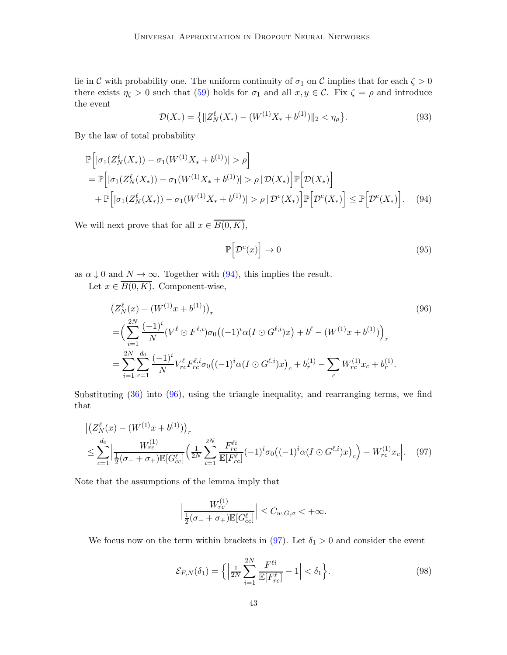lie in C with probability one. The uniform continuity of  $\sigma_1$  on C implies that for each  $\zeta > 0$ there exists  $\eta_{\zeta} > 0$  such that [\(59\)](#page-36-1) holds for  $\sigma_1$  and all  $x, y \in \mathcal{C}$ . Fix  $\zeta = \rho$  and introduce the event

$$
\mathcal{D}(X_*) = \left\{ \|Z_N^{\ell}(X_*) - (W^{(1)}X_* + b^{(1)})\|_2 < \eta_\rho \right\}.\tag{93}
$$

By the law of total probability

$$
\mathbb{P}\Big[|\sigma_1(Z_N^{\ell}(X_*)) - \sigma_1(W^{(1)}X_* + b^{(1)})| > \rho\Big] \n= \mathbb{P}\Big[|\sigma_1(Z_N^{\ell}(X_*)) - \sigma_1(W^{(1)}X_* + b^{(1)})| > \rho |\mathcal{D}(X_*)\Big] \mathbb{P}\Big[\mathcal{D}(X_*)\Big] \n+ \mathbb{P}\Big[|\sigma_1(Z_N^{\ell}(X_*)) - \sigma_1(W^{(1)}X_* + b^{(1)})| > \rho |\mathcal{D}^{c}(X_*)\Big] \mathbb{P}\Big[\mathcal{D}^{c}(X_*)\Big] \le \mathbb{P}\Big[\mathcal{D}^{c}(X_*)\Big].
$$
\n(94)

We will next prove that for all  $x \in \overline{B(0, K)}$ ,

<span id="page-42-1"></span><span id="page-42-0"></span>
$$
\mathbb{P}\Big[\mathcal{D}^c(x)\Big] \to 0\tag{95}
$$

as  $\alpha \downarrow 0$  and  $N \to \infty$ . Together with [\(94\)](#page-42-0), this implies the result.

Let  $x \in \overline{B(0,K)}$ . Component-wise,

$$
\begin{split} & \left(Z_N^{\ell}(x) - \left(W^{(1)}x + b^{(1)}\right)\right)_r \\ & = \left(\sum_{i=1}^{2N} \frac{(-1)^i}{N} \left(V^{\ell} \odot F^{\ell,i}\right) \sigma_0 \left((-1)^i \alpha (I \odot G^{\ell,i})x\right) + b^{\ell} - \left(W^{(1)}x + b^{(1)}\right)\right)_r \\ & = \sum_{i=1}^{2N} \sum_{c=1}^{d_0} \frac{(-1)^i}{N} V_{rc}^{\ell} F_{rc}^{\ell,i} \sigma_0 \left((-1)^i \alpha (I \odot G^{\ell,i})x\right)_c + b_r^{(1)} - \sum_c W_{rc}^{(1)} x_c + b_r^{(1)}. \end{split} \tag{96}
$$

Substituting [\(36\)](#page-24-3) into [\(96\)](#page-42-1), using the triangle inequality, and rearranging terms, we find that

$$
\left| \left( Z_N^{\ell}(x) - (W^{(1)}x + b^{(1)}) \right)_r \right|
$$
  
\n
$$
\leq \sum_{c=1}^{d_0} \left| \frac{W_{rc}^{(1)}}{\frac{1}{2}(\sigma_- + \sigma_+) \mathbb{E}[G_{cc}^{\ell}]} \left( \frac{1}{2N} \sum_{i=1}^{2N} \frac{F_{rc}^{\ell i}}{\mathbb{E}[F_{rc}^{\ell}]} (-1)^i \sigma_0 \left( (-1)^i \alpha (I \odot G^{\ell, i}) x \right)_c \right) - W_{rc}^{(1)} x_c \right|.
$$
 (97)

Note that the assumptions of the lemma imply that

<span id="page-42-2"></span>
$$
\Big|\frac{W_{rc}^{(1)}}{\tfrac{1}{2}(\sigma_-+\sigma_+)\mathbb{E}[G_{cc}^\ell]}\Big|\leq C_{w,G,\sigma}<+\infty.
$$

We focus now on the term within brackets in [\(97\)](#page-42-2). Let  $\delta_1 > 0$  and consider the event

$$
\mathcal{E}_{F,N}(\delta_1) = \left\{ \left| \frac{1}{2N} \sum_{i=1}^{2N} \frac{F^{\ell i}}{\mathbb{E}[F_{rc}^{\ell}]} - 1 \right| < \delta_1 \right\}.
$$
\n(98)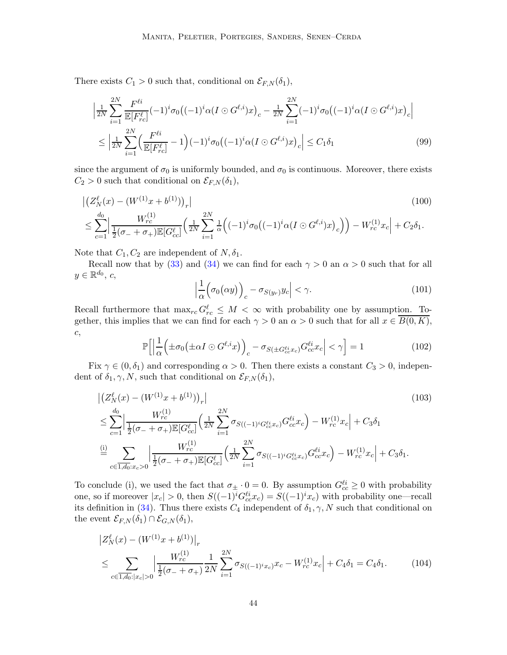There exists  $C_1 > 0$  such that, conditional on  $\mathcal{E}_{F,N}(\delta_1)$ ,

$$
\left| \frac{1}{2N} \sum_{i=1}^{2N} \frac{F^{\ell i}}{\mathbb{E}[F_{rc}^{\ell}]} (-1)^{i} \sigma_0 \big( (-1)^{i} \alpha (I \odot G^{\ell, i}) x \big)_{c} - \frac{1}{2N} \sum_{i=1}^{2N} (-1)^{i} \sigma_0 \big( (-1)^{i} \alpha (I \odot G^{\ell, i}) x \big)_{c} \right|
$$
  

$$
\leq \left| \frac{1}{2N} \sum_{i=1}^{2N} \left( \frac{F^{\ell i}}{\mathbb{E}[F_{rc}^{\ell}]} - 1 \right) (-1)^{i} \sigma_0 \big( (-1)^{i} \alpha (I \odot G^{\ell, i}) x \big)_{c} \right| \leq C_1 \delta_1
$$
(99)

since the argument of  $\sigma_0$  is uniformly bounded, and  $\sigma_0$  is continuous. Moreover, there exists  $C_2 > 0$  such that conditional on  $\mathcal{E}_{F,N}(\delta_1)$ ,

$$
\left| \left( Z_N^{\ell}(x) - \left( W^{(1)} x + b^{(1)} \right) \right)_r \right|
$$
\n
$$
\leq \sum_{c=1}^{d_0} \left| \frac{W_{rc}^{(1)}}{\frac{1}{2} (\sigma_- + \sigma_+) \mathbb{E} [G_{cc}^{\ell}]} \left( \frac{1}{2N} \sum_{i=1}^{2N} \frac{1}{\alpha} \left( (-1)^i \sigma_0 \left( (-1)^i \alpha (I \odot G^{\ell, i}) x \right)_c \right) \right) - W_{rc}^{(1)} x_c \right| + C_2 \delta_1.
$$
\n(100)

Note that  $C_1, C_2$  are independent of  $N, \delta_1$ .

Recall now that by [\(33\)](#page-22-2) and [\(34\)](#page-22-3) we can find for each  $\gamma > 0$  an  $\alpha > 0$  such that for all  $y \in \mathbb{R}^{d_0}$ , c,

$$
\left|\frac{1}{\alpha}\Big(\sigma_0(\alpha y)\Big)_c - \sigma_{S(y_r)}y_c\right| < \gamma. \tag{101}
$$

Recall furthermore that  $\max_{rc} G_{rc}^{\ell} \leq M < \infty$  with probability one by assumption. Together, this implies that we can find for each  $\gamma > 0$  an  $\alpha > 0$  such that for all  $x \in \overline{B(0, K)}$ , c,

$$
\mathbb{P}\Big[\Big|\frac{1}{\alpha}\Big(\pm\sigma_0\big(\pm\alpha I\odot G^{\ell,i}x\big)\Big)_c - \sigma_{S(\pm G_{cc}^{\ell i}x_c)}G_{cc}^{\ell i}x_c\Big| < \gamma\Big] = 1\tag{102}
$$

Fix  $\gamma \in (0, \delta_1)$  and corresponding  $\alpha > 0$ . Then there exists a constant  $C_3 > 0$ , independent of  $\delta_1, \gamma, N$ , such that conditional on  $\mathcal{E}_{F,N}(\delta_1)$ ,

$$
\left| \left( Z_N^{\ell}(x) - (W^{(1)}x + b^{(1)}) \right)_r \right|
$$
\n
$$
\leq \sum_{c=1}^{d_0} \left| \frac{W_{rc}^{(1)}}{\frac{1}{2}(\sigma_- + \sigma_+) \mathbb{E}[G_{cc}^{\ell}]} \left( \frac{1}{2N} \sum_{i=1}^{2N} \sigma_{S((-1)^i G_{cc}^{\ell i} x_c)} G_{cc}^{\ell i} x_c \right) - W_{rc}^{(1)} x_c \right| + C_3 \delta_1
$$
\n
$$
\stackrel{\text{(i)}}{=} \sum_{c \in \overline{1, d_0} : x_c > 0} \left| \frac{W_{rc}^{(1)}}{\frac{1}{2}(\sigma_- + \sigma_+) \mathbb{E}[G_{cc}^{\ell}]} \left( \frac{1}{2N} \sum_{i=1}^{2N} \sigma_{S((-1)^i G_{cc}^{\ell i} x_c)} G_{cc}^{\ell i} x_c \right) - W_{rc}^{(1)} x_c \right| + C_3 \delta_1.
$$
\n(103)

To conclude (i), we used the fact that  $\sigma_{\pm} \cdot 0 = 0$ . By assumption  $G_{cc}^{(i)} \geq 0$  with probability one, so if moreover  $|x_c| > 0$ , then  $S((-1)^i G_{cc}^{\ell i} x_c) = S((-1)^i x_c)$  with probability one—recall its definition in [\(34\)](#page-22-3). Thus there exists  $C_4$  independent of  $\delta_1, \gamma, N$  such that conditional on the event  $\mathcal{E}_{F,N}(\delta_1) \cap \mathcal{E}_{G,N}(\delta_1),$ 

$$
\left| Z_N^{\ell}(x) - (W^{(1)}x + b^{(1)}) \right|_r
$$
  
\n
$$
\leq \sum_{c \in \overline{1, d_0}: |x_c| > 0} \left| \frac{W_{rc}^{(1)}}{\frac{1}{2}(\sigma_- + \sigma_+)} \frac{1}{2N} \sum_{i=1}^{2N} \sigma_{S((-1)^i x_c)} x_c - W_{rc}^{(1)} x_c \right| + C_4 \delta_1 = C_4 \delta_1.
$$
 (104)